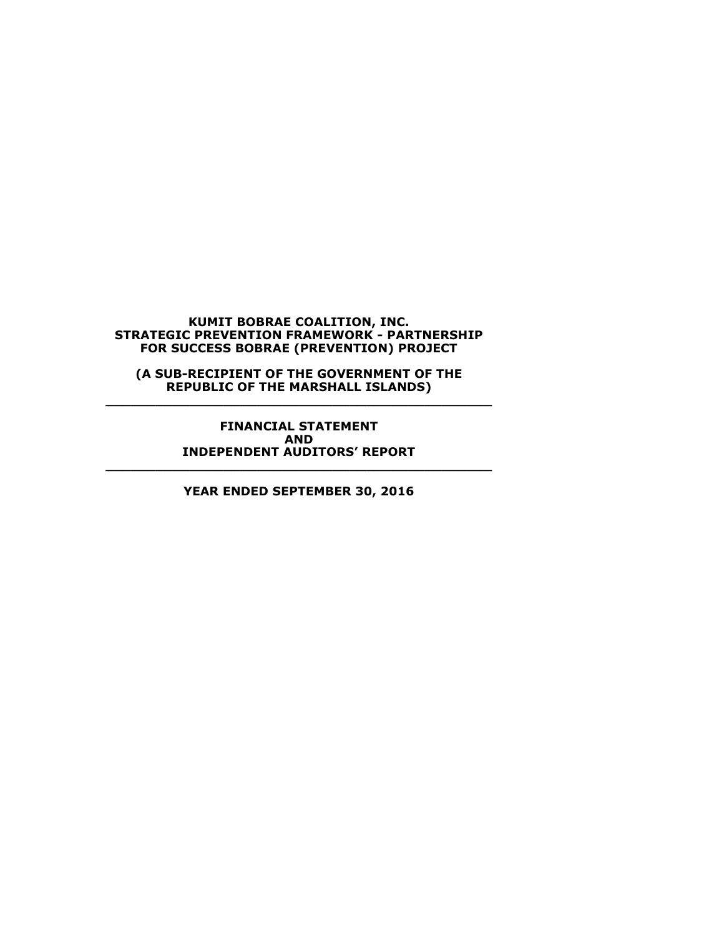**(A SUB-RECIPIENT OF THE GOVERNMENT OF THE REPUBLIC OF THE MARSHALL ISLANDS) \_\_\_\_\_\_\_\_\_\_\_\_\_\_\_\_\_\_\_\_\_\_\_\_\_\_\_\_\_\_\_\_\_\_\_\_\_\_\_\_\_\_\_\_\_\_**

> **FINANCIAL STATEMENT AND INDEPENDENT AUDITORS' REPORT**

**YEAR ENDED SEPTEMBER 30, 2016**

**\_\_\_\_\_\_\_\_\_\_\_\_\_\_\_\_\_\_\_\_\_\_\_\_\_\_\_\_\_\_\_\_\_\_\_\_\_\_\_\_\_\_\_\_\_\_**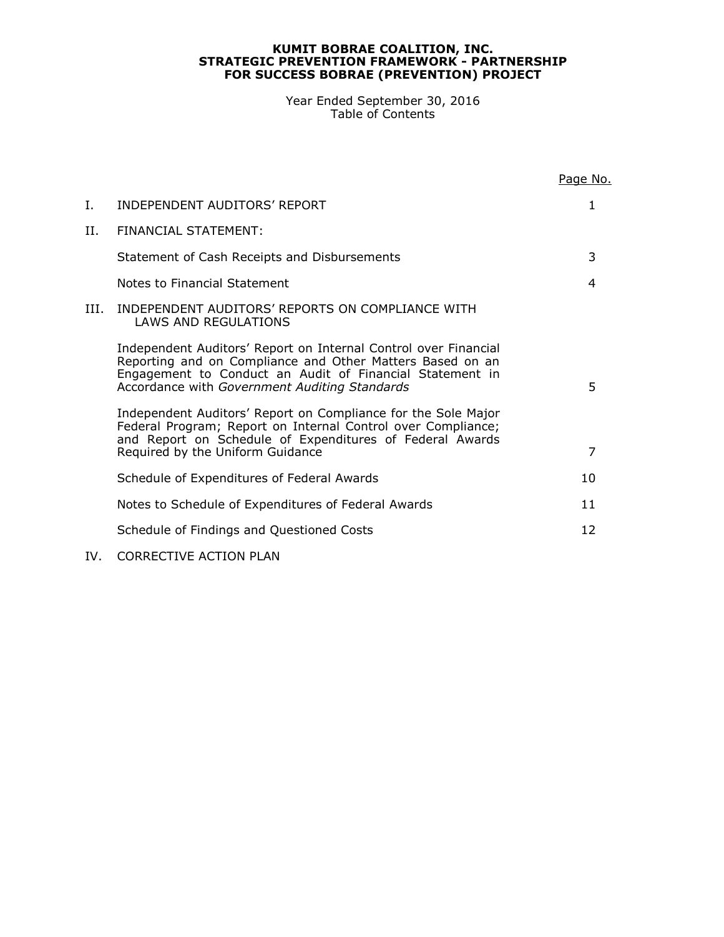Year Ended September 30, 2016 Table of Contents

|      |                                                                                                                                                                                                                                           | Page No.       |
|------|-------------------------------------------------------------------------------------------------------------------------------------------------------------------------------------------------------------------------------------------|----------------|
| Ι.   | INDEPENDENT AUDITORS' REPORT                                                                                                                                                                                                              | 1              |
| II.  | FINANCIAL STATEMENT:                                                                                                                                                                                                                      |                |
|      | Statement of Cash Receipts and Disbursements                                                                                                                                                                                              | 3              |
|      | Notes to Financial Statement                                                                                                                                                                                                              | 4              |
| III. | INDEPENDENT AUDITORS' REPORTS ON COMPLIANCE WITH<br>LAWS AND REGULATIONS                                                                                                                                                                  |                |
|      | Independent Auditors' Report on Internal Control over Financial<br>Reporting and on Compliance and Other Matters Based on an<br>Engagement to Conduct an Audit of Financial Statement in<br>Accordance with Government Auditing Standards | 5              |
|      | Independent Auditors' Report on Compliance for the Sole Major<br>Federal Program; Report on Internal Control over Compliance;<br>and Report on Schedule of Expenditures of Federal Awards<br>Required by the Uniform Guidance             | $\overline{7}$ |
|      | Schedule of Expenditures of Federal Awards                                                                                                                                                                                                | 10             |
|      | Notes to Schedule of Expenditures of Federal Awards                                                                                                                                                                                       | 11             |
|      | Schedule of Findings and Questioned Costs                                                                                                                                                                                                 | 12             |
|      |                                                                                                                                                                                                                                           |                |

# IV. CORRECTIVE ACTION PLAN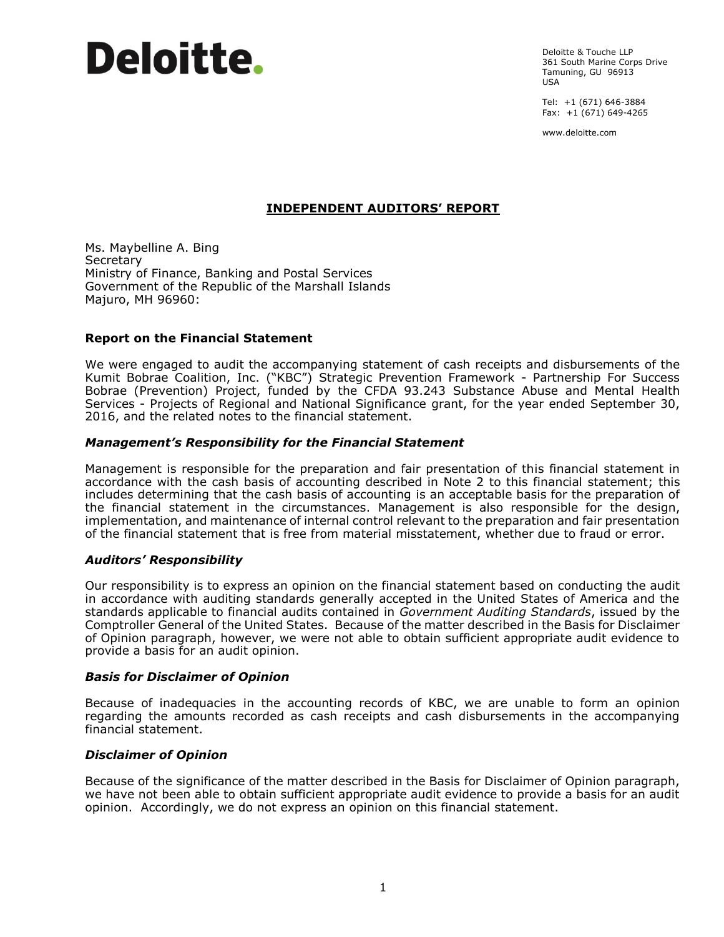Deloitte & Touche LLP 361 South Marine Corps Drive Tamuning, GU 96913 USA

Tel: +1 (671) 646-3884 Fax:  $+1(671) 649-4265$ 

www.deloitte.com

# **INDEPENDENT AUDITORS' REPORT**

Ms. Maybelline A. Bing **Secretary** Ministry of Finance, Banking and Postal Services Government of the Republic of the Marshall Islands Majuro, MH 96960:

# **Report on the Financial Statement**

We were engaged to audit the accompanying statement of cash receipts and disbursements of the Kumit Bobrae Coalition, Inc. ("KBC") Strategic Prevention Framework - Partnership For Success Bobrae (Prevention) Project, funded by the CFDA 93.243 Substance Abuse and Mental Health Services - Projects of Regional and National Significance grant, for the year ended September 30, 2016, and the related notes to the financial statement.

# *Management's Responsibility for the Financial Statement*

Management is responsible for the preparation and fair presentation of this financial statement in accordance with the cash basis of accounting described in Note 2 to this financial statement; this includes determining that the cash basis of accounting is an acceptable basis for the preparation of the financial statement in the circumstances. Management is also responsible for the design, implementation, and maintenance of internal control relevant to the preparation and fair presentation of the financial statement that is free from material misstatement, whether due to fraud or error.

# *Auditors' Responsibility*

Our responsibility is to express an opinion on the financial statement based on conducting the audit in accordance with auditing standards generally accepted in the United States of America and the standards applicable to financial audits contained in *Government Auditing Standards*, issued by the Comptroller General of the United States. Because of the matter described in the Basis for Disclaimer of Opinion paragraph, however, we were not able to obtain sufficient appropriate audit evidence to provide a basis for an audit opinion.

# *Basis for Disclaimer of Opinion*

Because of inadequacies in the accounting records of KBC, we are unable to form an opinion regarding the amounts recorded as cash receipts and cash disbursements in the accompanying financial statement.

# *Disclaimer of Opinion*

Because of the significance of the matter described in the Basis for Disclaimer of Opinion paragraph, we have not been able to obtain sufficient appropriate audit evidence to provide a basis for an audit opinion. Accordingly, we do not express an opinion on this financial statement.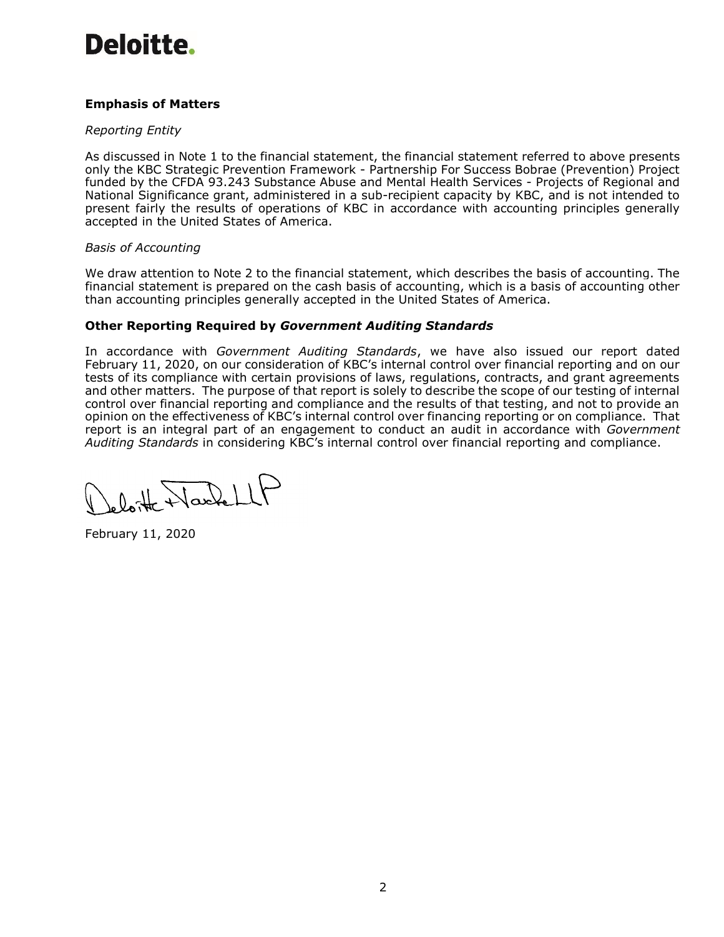# **Emphasis of Matters**

# *Reporting Entity*

As discussed in Note 1 to the financial statement, the financial statement referred to above presents only the KBC Strategic Prevention Framework - Partnership For Success Bobrae (Prevention) Project funded by the CFDA 93.243 Substance Abuse and Mental Health Services - Projects of Regional and National Significance grant, administered in a sub-recipient capacity by KBC, and is not intended to present fairly the results of operations of KBC in accordance with accounting principles generally accepted in the United States of America.

# *Basis of Accounting*

We draw attention to Note 2 to the financial statement, which describes the basis of accounting. The financial statement is prepared on the cash basis of accounting, which is a basis of accounting other than accounting principles generally accepted in the United States of America.

# **Other Reporting Required by** *Government Auditing Standards*

In accordance with *Government Auditing Standards*, we have also issued our report dated February 11, 2020, on our consideration of KBC's internal control over financial reporting and on our tests of its compliance with certain provisions of laws, regulations, contracts, and grant agreements and other matters. The purpose of that report is solely to describe the scope of our testing of internal control over financial reporting and compliance and the results of that testing, and not to provide an opinion on the effectiveness of KBC's internal control over financing reporting or on compliance. That report is an integral part of an engagement to conduct an audit in accordance with *Government Auditing Standards* in considering KBC's internal control over financial reporting and compliance.

eloitte NacheLLP

February 11, 2020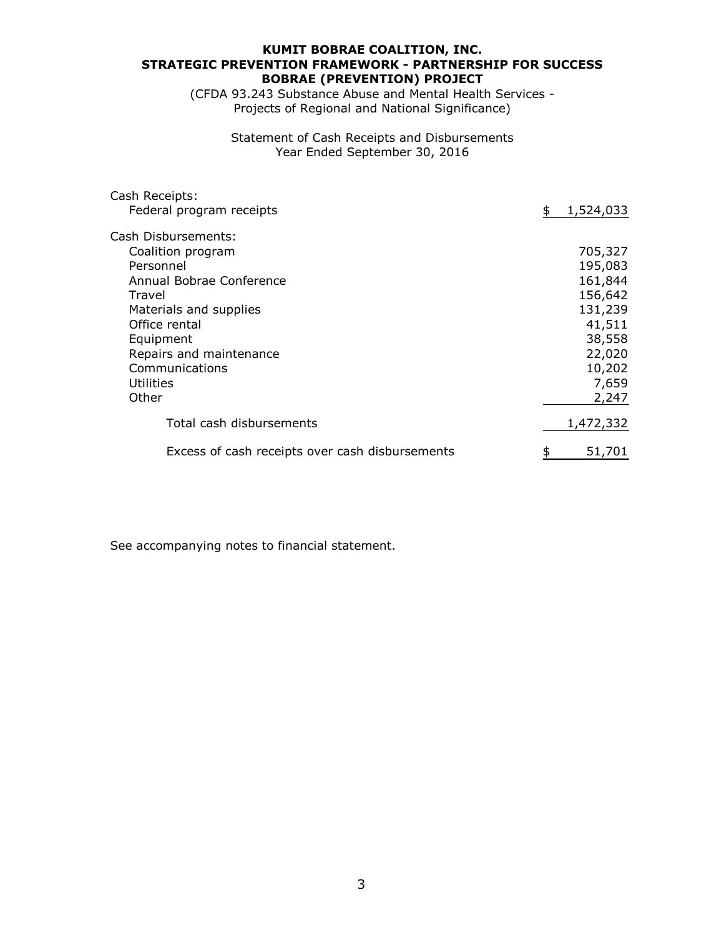# **KUMIT BOBRAE COALITION, INC. BOBRAE (PREVENTION) PROJECT STRATEGIC PREVENTION FRAMEWORK - PARTNERSHIP FOR SUCCESS**

(CFDA 93.243 Substance Abuse and Mental Health Services - Projects of Regional and National Significance)

> Year Ended September 30, 2016 Statement of Cash Receipts and Disbursements

| Cash Receipts:                                  |                 |
|-------------------------------------------------|-----------------|
| Federal program receipts                        | 1,524,033<br>\$ |
| Cash Disbursements:                             |                 |
| Coalition program                               | 705,327         |
| Personnel                                       | 195,083         |
| Annual Bobrae Conference                        | 161,844         |
| Travel                                          | 156,642         |
| Materials and supplies                          | 131,239         |
| Office rental                                   | 41,511          |
| Equipment                                       | 38,558          |
| Repairs and maintenance                         | 22,020          |
| Communications                                  | 10,202          |
| Utilities                                       | 7,659           |
| Other                                           | 2,247           |
| Total cash disbursements                        | 1,472,332       |
| Excess of cash receipts over cash disbursements | 51,701          |
|                                                 |                 |

See accompanying notes to financial statement.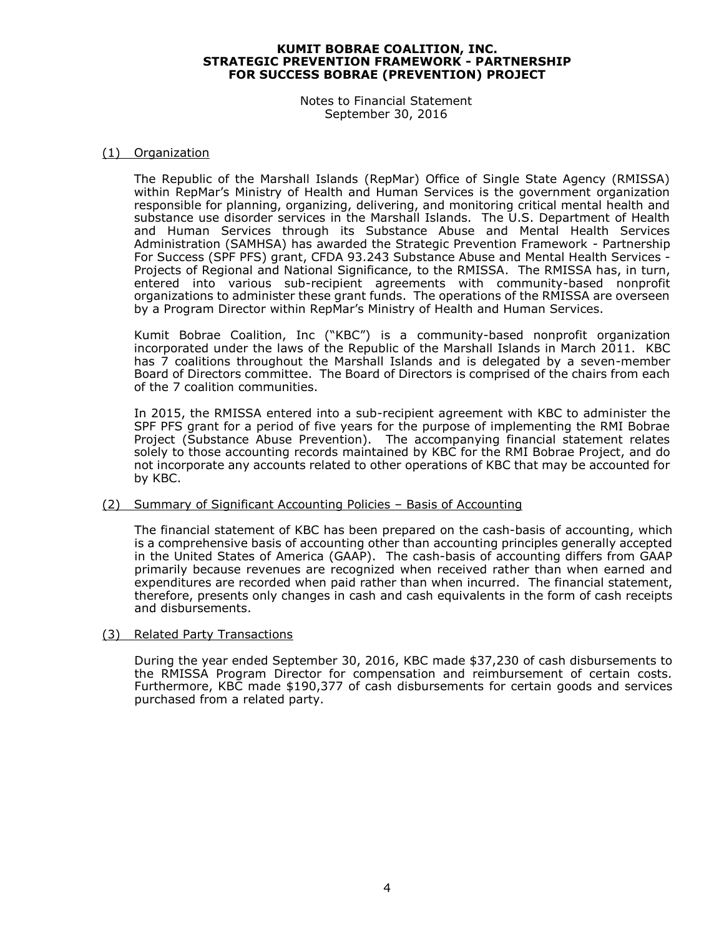Notes to Financial Statement September 30, 2016

#### (1) Organization

The Republic of the Marshall Islands (RepMar) Office of Single State Agency (RMISSA) within RepMar's Ministry of Health and Human Services is the government organization responsible for planning, organizing, delivering, and monitoring critical mental health and substance use disorder services in the Marshall Islands. The U.S. Department of Health and Human Services through its Substance Abuse and Mental Health Services Administration (SAMHSA) has awarded the Strategic Prevention Framework - Partnership For Success (SPF PFS) grant, CFDA 93.243 Substance Abuse and Mental Health Services - Projects of Regional and National Significance, to the RMISSA. The RMISSA has, in turn, entered into various sub-recipient agreements with community-based nonprofit organizations to administer these grant funds. The operations of the RMISSA are overseen by a Program Director within RepMar's Ministry of Health and Human Services.

Kumit Bobrae Coalition, Inc ("KBC") is a community-based nonprofit organization incorporated under the laws of the Republic of the Marshall Islands in March 2011. KBC has 7 coalitions throughout the Marshall Islands and is delegated by a seven-member Board of Directors committee. The Board of Directors is comprised of the chairs from each of the 7 coalition communities.

In 2015, the RMISSA entered into a sub-recipient agreement with KBC to administer the SPF PFS grant for a period of five years for the purpose of implementing the RMI Bobrae Project (Substance Abuse Prevention). The accompanying financial statement relates solely to those accounting records maintained by KBC for the RMI Bobrae Project, and do not incorporate any accounts related to other operations of KBC that may be accounted for by KBC.

#### (2) Summary of Significant Accounting Policies – Basis of Accounting

The financial statement of KBC has been prepared on the cash-basis of accounting, which is a comprehensive basis of accounting other than accounting principles generally accepted in the United States of America (GAAP). The cash-basis of accounting differs from GAAP primarily because revenues are recognized when received rather than when earned and expenditures are recorded when paid rather than when incurred. The financial statement, therefore, presents only changes in cash and cash equivalents in the form of cash receipts and disbursements.

(3) Related Party Transactions

During the year ended September 30, 2016, KBC made \$37,230 of cash disbursements to the RMISSA Program Director for compensation and reimbursement of certain costs. Furthermore, KBC made \$190,377 of cash disbursements for certain goods and services purchased from a related party.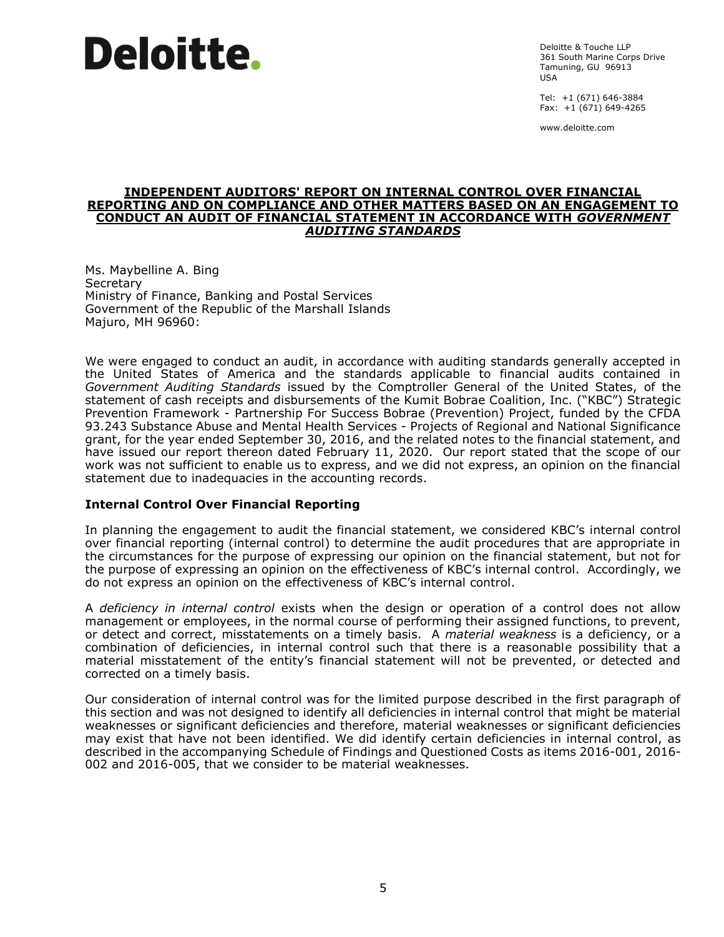Deloitte & Touche LLP 361 South Marine Corps Drive Tamuning, GU 96913 USA

Tel: +1 (671) 646-3884 Fax: +1 (671) 649-4265

www.deloitte.com

#### **INDEPENDENT AUDITORS' REPORT ON INTERNAL CONTROL OVER FINANCIAL REPORTING AND ON COMPLIANCE AND OTHER MATTERS BASED ON AN ENGAGEMENT TO CONDUCT AN AUDIT OF FINANCIAL STATEMENT IN ACCORDANCE WITH** *GOVERNMENT AUDITING STANDARDS*

Ms. Maybelline A. Bing **Secretary** Ministry of Finance, Banking and Postal Services Government of the Republic of the Marshall Islands Majuro, MH 96960:

We were engaged to conduct an audit, in accordance with auditing standards generally accepted in the United States of America and the standards applicable to financial audits contained in *Government Auditing Standards* issued by the Comptroller General of the United States, of the statement of cash receipts and disbursements of the Kumit Bobrae Coalition, Inc. ("KBC") Strategic Prevention Framework - Partnership For Success Bobrae (Prevention) Project, funded by the CFDA 93.243 Substance Abuse and Mental Health Services - Projects of Regional and National Significance grant, for the year ended September 30, 2016, and the related notes to the financial statement, and have issued our report thereon dated February 11, 2020. Our report stated that the scope of our work was not sufficient to enable us to express, and we did not express, an opinion on the financial statement due to inadequacies in the accounting records.

# **Internal Control Over Financial Reporting**

In planning the engagement to audit the financial statement, we considered KBC's internal control over financial reporting (internal control) to determine the audit procedures that are appropriate in the circumstances for the purpose of expressing our opinion on the financial statement, but not for the purpose of expressing an opinion on the effectiveness of KBC's internal control. Accordingly, we do not express an opinion on the effectiveness of KBC's internal control.

A *deficiency in internal control* exists when the design or operation of a control does not allow management or employees, in the normal course of performing their assigned functions, to prevent, or detect and correct, misstatements on a timely basis. A *material weakness* is a deficiency, or a combination of deficiencies, in internal control such that there is a reasonable possibility that a material misstatement of the entity's financial statement will not be prevented, or detected and corrected on a timely basis.

Our consideration of internal control was for the limited purpose described in the first paragraph of this section and was not designed to identify all deficiencies in internal control that might be material weaknesses or significant deficiencies and therefore, material weaknesses or significant deficiencies may exist that have not been identified. We did identify certain deficiencies in internal control, as described in the accompanying Schedule of Findings and Questioned Costs as items 2016-001, 2016- 002 and 2016-005, that we consider to be material weaknesses.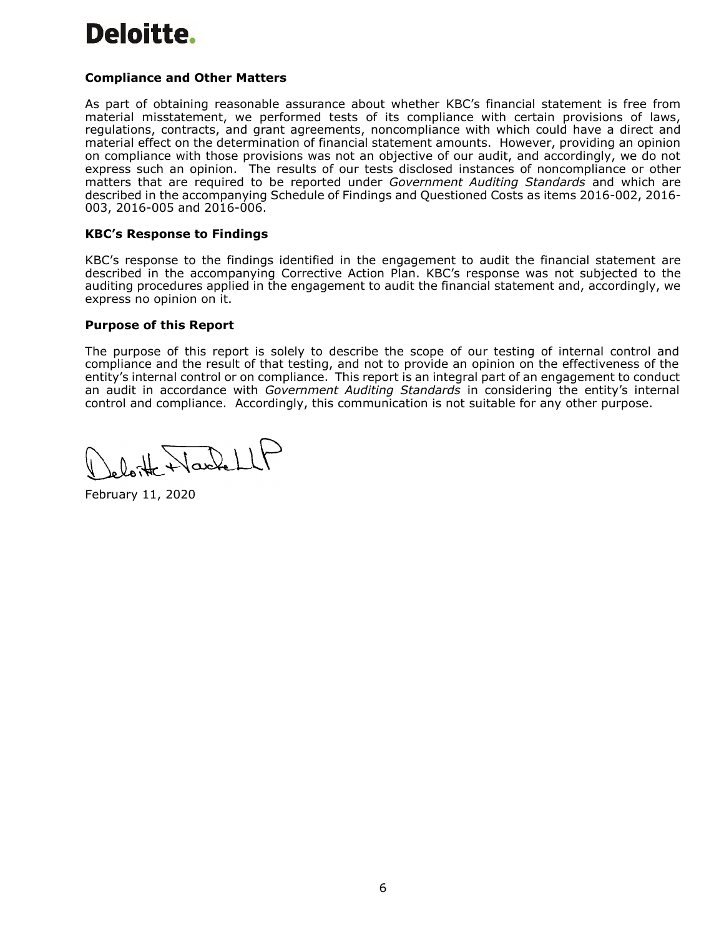# **Compliance and Other Matters**

As part of obtaining reasonable assurance about whether KBC's financial statement is free from material misstatement, we performed tests of its compliance with certain provisions of laws, regulations, contracts, and grant agreements, noncompliance with which could have a direct and material effect on the determination of financial statement amounts. However, providing an opinion on compliance with those provisions was not an objective of our audit, and accordingly, we do not express such an opinion. The results of our tests disclosed instances of noncompliance or other matters that are required to be reported under *Government Auditing Standards* and which are described in the accompanying Schedule of Findings and Questioned Costs as items 2016-002, 2016- 003, 2016-005 and 2016-006.

#### **KBC's Response to Findings**

KBC's response to the findings identified in the engagement to audit the financial statement are described in the accompanying Corrective Action Plan. KBC's response was not subjected to the auditing procedures applied in the engagement to audit the financial statement and, accordingly, we express no opinion on it.

#### **Purpose of this Report**

The purpose of this report is solely to describe the scope of our testing of internal control and compliance and the result of that testing, and not to provide an opinion on the effectiveness of the entity's internal control or on compliance. This report is an integral part of an engagement to conduct an audit in accordance with *Government Auditing Standards* in considering the entity's internal control and compliance. Accordingly, this communication is not suitable for any other purpose.

leloitte Nache LLF

February 11, 2020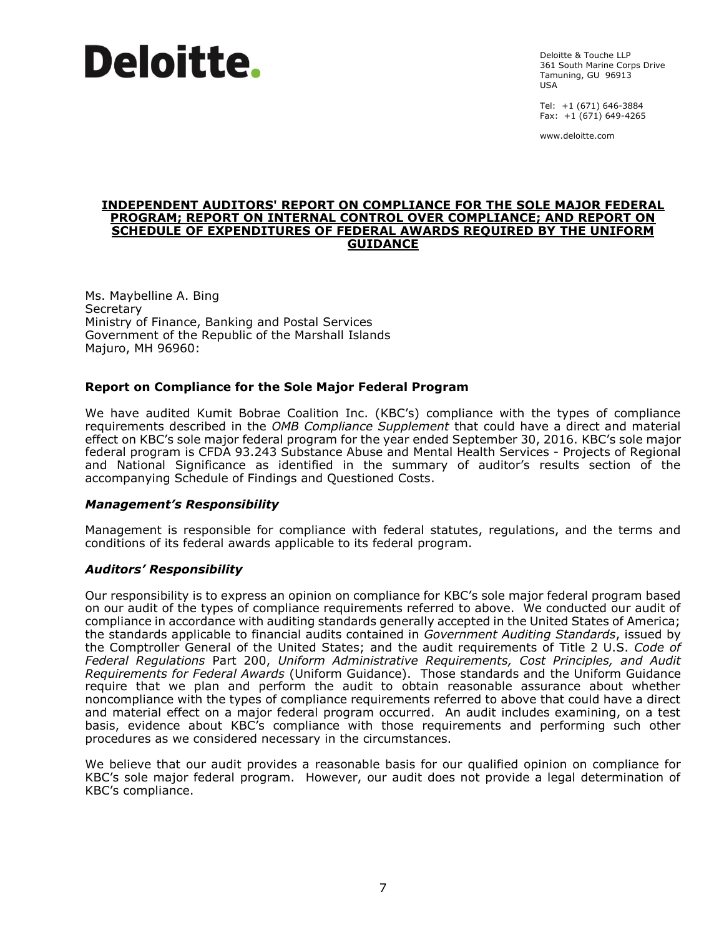Deloitte & Touche LLP 361 South Marine Corps Drive Tamuning, GU 96913 USA

Tel: +1 (671) 646-3884 Fax: +1 (671) 649-4265

www.deloitte.com

#### **INDEPENDENT AUDITORS' REPORT ON COMPLIANCE FOR THE SOLE MAJOR FEDERAL PROGRAM; REPORT ON INTERNAL CONTROL OVER COMPLIANCE; AND REPORT ON SCHEDULE OF EXPENDITURES OF FEDERAL AWARDS REQUIRED BY THE UNIFORM GUIDANCE**

Ms. Maybelline A. Bing **Secretary** Ministry of Finance, Banking and Postal Services Government of the Republic of the Marshall Islands Majuro, MH 96960:

# **Report on Compliance for the Sole Major Federal Program**

We have audited Kumit Bobrae Coalition Inc. (KBC's) compliance with the types of compliance requirements described in the *OMB Compliance Supplement* that could have a direct and material effect on KBC's sole major federal program for the year ended September 30, 2016. KBC's sole major federal program is CFDA 93.243 Substance Abuse and Mental Health Services - Projects of Regional and National Significance as identified in the summary of auditor's results section of the accompanying Schedule of Findings and Questioned Costs.

# *Management's Responsibility*

Management is responsible for compliance with federal statutes, regulations, and the terms and conditions of its federal awards applicable to its federal program.

# *Auditors' Responsibility*

Our responsibility is to express an opinion on compliance for KBC's sole major federal program based on our audit of the types of compliance requirements referred to above. We conducted our audit of compliance in accordance with auditing standards generally accepted in the United States of America; the standards applicable to financial audits contained in *Government Auditing Standards*, issued by the Comptroller General of the United States; and the audit requirements of Title 2 U.S. *Code of Federal Regulations* Part 200, *Uniform Administrative Requirements, Cost Principles, and Audit Requirements for Federal Awards* (Uniform Guidance). Those standards and the Uniform Guidance require that we plan and perform the audit to obtain reasonable assurance about whether noncompliance with the types of compliance requirements referred to above that could have a direct and material effect on a major federal program occurred. An audit includes examining, on a test basis, evidence about KBC's compliance with those requirements and performing such other procedures as we considered necessary in the circumstances.

We believe that our audit provides a reasonable basis for our qualified opinion on compliance for KBC's sole major federal program. However, our audit does not provide a legal determination of KBC's compliance.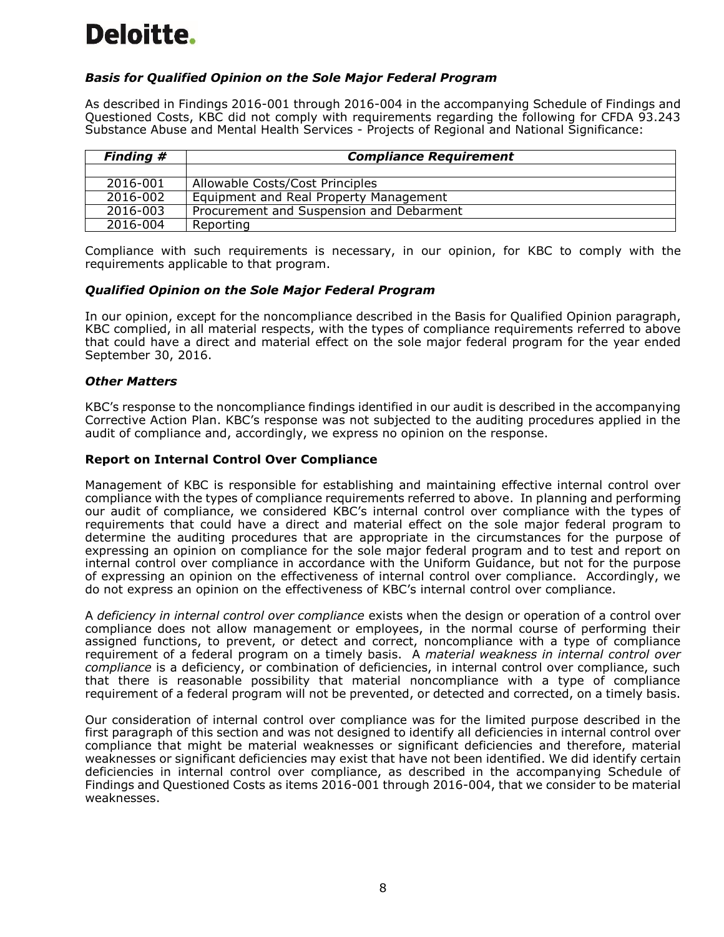# *Basis for Qualified Opinion on the Sole Major Federal Program*

As described in Findings 2016-001 through 2016-004 in the accompanying Schedule of Findings and Questioned Costs, KBC did not comply with requirements regarding the following for CFDA 93.243 Substance Abuse and Mental Health Services - Projects of Regional and National Significance:

| <b>Finding #</b> | <b>Compliance Requirement</b>            |
|------------------|------------------------------------------|
|                  |                                          |
| 2016-001         | Allowable Costs/Cost Principles          |
| 2016-002         | Equipment and Real Property Management   |
| 2016-003         | Procurement and Suspension and Debarment |
| 2016-004         | Reporting                                |

Compliance with such requirements is necessary, in our opinion, for KBC to comply with the requirements applicable to that program.

# *Qualified Opinion on the Sole Major Federal Program*

In our opinion, except for the noncompliance described in the Basis for Qualified Opinion paragraph, KBC complied, in all material respects, with the types of compliance requirements referred to above that could have a direct and material effect on the sole major federal program for the year ended September 30, 2016.

#### *Other Matters*

KBC's response to the noncompliance findings identified in our audit is described in the accompanying Corrective Action Plan. KBC's response was not subjected to the auditing procedures applied in the audit of compliance and, accordingly, we express no opinion on the response.

#### **Report on Internal Control Over Compliance**

Management of KBC is responsible for establishing and maintaining effective internal control over compliance with the types of compliance requirements referred to above. In planning and performing our audit of compliance, we considered KBC's internal control over compliance with the types of requirements that could have a direct and material effect on the sole major federal program to determine the auditing procedures that are appropriate in the circumstances for the purpose of expressing an opinion on compliance for the sole major federal program and to test and report on internal control over compliance in accordance with the Uniform Guidance, but not for the purpose of expressing an opinion on the effectiveness of internal control over compliance. Accordingly, we do not express an opinion on the effectiveness of KBC's internal control over compliance.

A *deficiency in internal control over compliance* exists when the design or operation of a control over compliance does not allow management or employees, in the normal course of performing their assigned functions, to prevent, or detect and correct, noncompliance with a type of compliance requirement of a federal program on a timely basis. A *material weakness in internal control over compliance* is a deficiency, or combination of deficiencies, in internal control over compliance, such that there is reasonable possibility that material noncompliance with a type of compliance requirement of a federal program will not be prevented, or detected and corrected, on a timely basis.

Our consideration of internal control over compliance was for the limited purpose described in the first paragraph of this section and was not designed to identify all deficiencies in internal control over compliance that might be material weaknesses or significant deficiencies and therefore, material weaknesses or significant deficiencies may exist that have not been identified. We did identify certain deficiencies in internal control over compliance, as described in the accompanying Schedule of Findings and Questioned Costs as items 2016-001 through 2016-004, that we consider to be material weaknesses.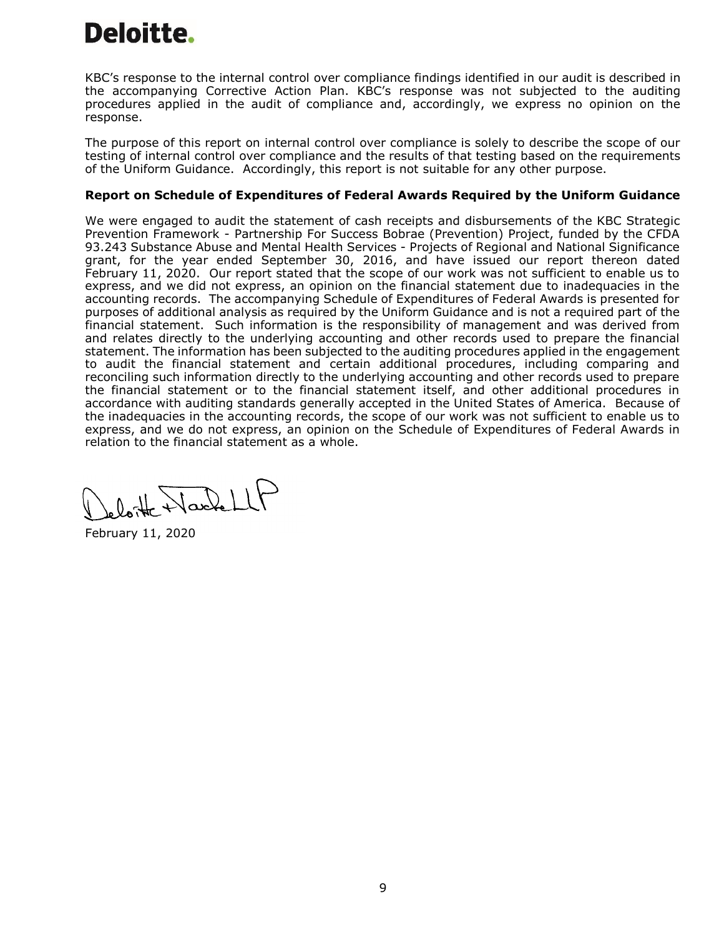KBC's response to the internal control over compliance findings identified in our audit is described in the accompanying Corrective Action Plan. KBC's response was not subjected to the auditing procedures applied in the audit of compliance and, accordingly, we express no opinion on the response.

The purpose of this report on internal control over compliance is solely to describe the scope of our testing of internal control over compliance and the results of that testing based on the requirements of the Uniform Guidance. Accordingly, this report is not suitable for any other purpose.

# **Report on Schedule of Expenditures of Federal Awards Required by the Uniform Guidance**

We were engaged to audit the statement of cash receipts and disbursements of the KBC Strategic Prevention Framework - Partnership For Success Bobrae (Prevention) Project, funded by the CFDA 93.243 Substance Abuse and Mental Health Services - Projects of Regional and National Significance grant, for the year ended September 30, 2016, and have issued our report thereon dated February 11, 2020. Our report stated that the scope of our work was not sufficient to enable us to express, and we did not express, an opinion on the financial statement due to inadequacies in the accounting records. The accompanying Schedule of Expenditures of Federal Awards is presented for purposes of additional analysis as required by the Uniform Guidance and is not a required part of the financial statement. Such information is the responsibility of management and was derived from and relates directly to the underlying accounting and other records used to prepare the financial statement. The information has been subjected to the auditing procedures applied in the engagement to audit the financial statement and certain additional procedures, including comparing and reconciling such information directly to the underlying accounting and other records used to prepare the financial statement or to the financial statement itself, and other additional procedures in accordance with auditing standards generally accepted in the United States of America. Because of the inadequacies in the accounting records, the scope of our work was not sufficient to enable us to express, and we do not express, an opinion on the Schedule of Expenditures of Federal Awards in relation to the financial statement as a whole.

loite Harlett

February 11, 2020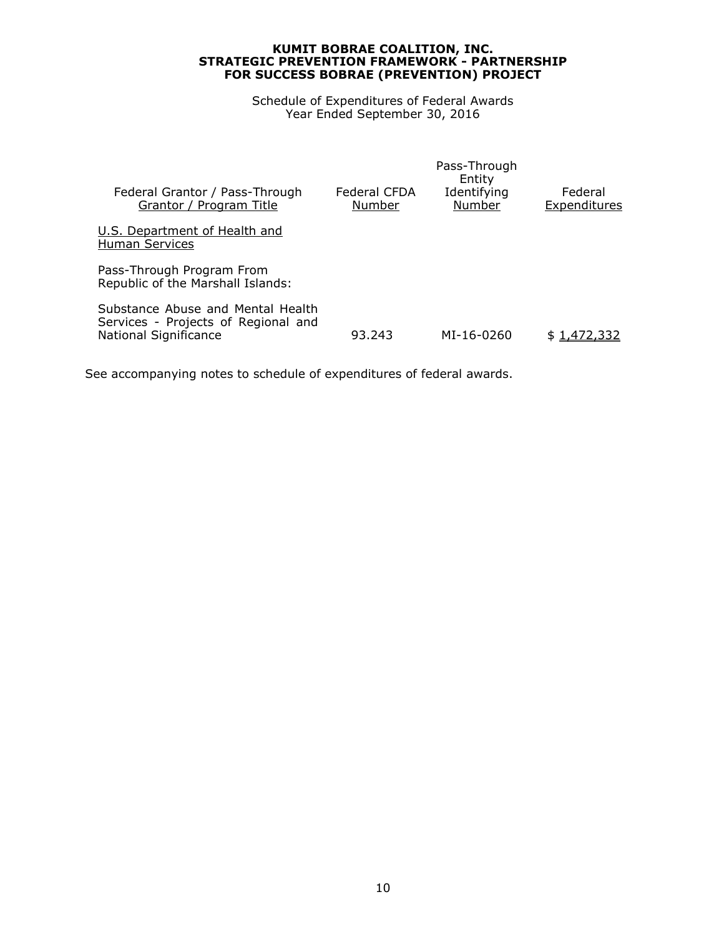Schedule of Expenditures of Federal Awards Year Ended September 30, 2016

| Federal CFDA<br>Number | Pass-Through<br>Entity<br>Identifying<br>Number | Federal<br><b>Expenditures</b> |
|------------------------|-------------------------------------------------|--------------------------------|
|                        |                                                 |                                |
|                        |                                                 |                                |
| 93.243                 | MI-16-0260                                      | \$1,472,332                    |
|                        |                                                 |                                |

See accompanying notes to schedule of expenditures of federal awards.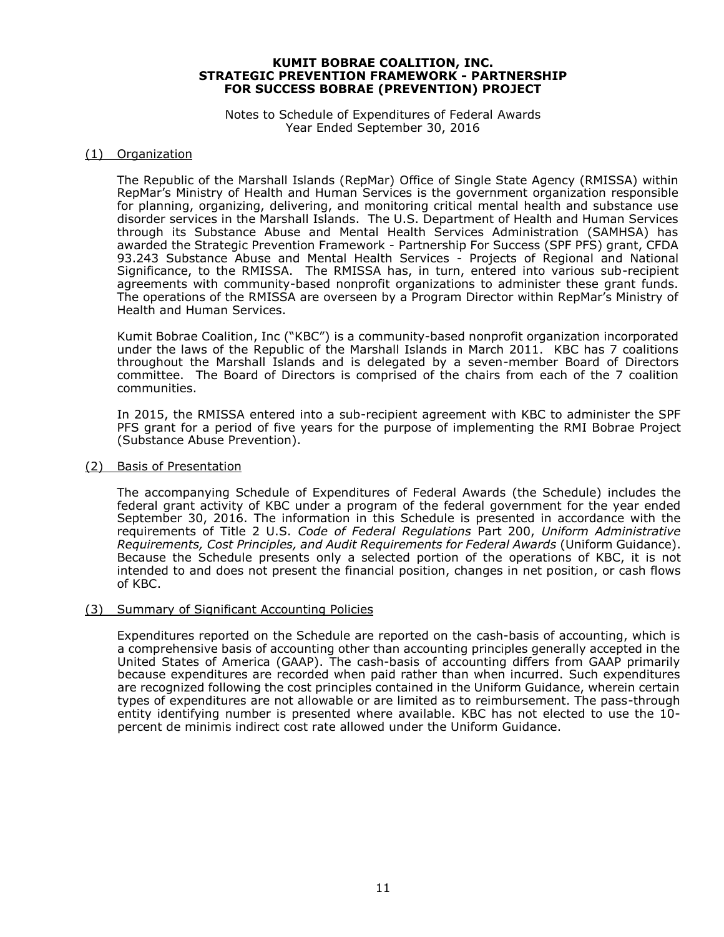#### Notes to Schedule of Expenditures of Federal Awards Year Ended September 30, 2016

#### (1) Organization

The Republic of the Marshall Islands (RepMar) Office of Single State Agency (RMISSA) within RepMar's Ministry of Health and Human Services is the government organization responsible for planning, organizing, delivering, and monitoring critical mental health and substance use disorder services in the Marshall Islands. The U.S. Department of Health and Human Services through its Substance Abuse and Mental Health Services Administration (SAMHSA) has awarded the Strategic Prevention Framework - Partnership For Success (SPF PFS) grant, CFDA 93.243 Substance Abuse and Mental Health Services - Projects of Regional and National Significance, to the RMISSA. The RMISSA has, in turn, entered into various sub-recipient agreements with community-based nonprofit organizations to administer these grant funds. The operations of the RMISSA are overseen by a Program Director within RepMar's Ministry of Health and Human Services.

Kumit Bobrae Coalition, Inc ("KBC") is a community-based nonprofit organization incorporated under the laws of the Republic of the Marshall Islands in March 2011. KBC has 7 coalitions throughout the Marshall Islands and is delegated by a seven-member Board of Directors committee. The Board of Directors is comprised of the chairs from each of the 7 coalition communities.

In 2015, the RMISSA entered into a sub-recipient agreement with KBC to administer the SPF PFS grant for a period of five years for the purpose of implementing the RMI Bobrae Project (Substance Abuse Prevention).

#### (2) Basis of Presentation

The accompanying Schedule of Expenditures of Federal Awards (the Schedule) includes the federal grant activity of KBC under a program of the federal government for the year ended September 30, 2016. The information in this Schedule is presented in accordance with the requirements of Title 2 U.S. *Code of Federal Regulations* Part 200, *Uniform Administrative Requirements, Cost Principles, and Audit Requirements for Federal Awards* (Uniform Guidance). Because the Schedule presents only a selected portion of the operations of KBC, it is not intended to and does not present the financial position, changes in net position, or cash flows of KBC.

#### (3) Summary of Significant Accounting Policies

Expenditures reported on the Schedule are reported on the cash-basis of accounting, which is a comprehensive basis of accounting other than accounting principles generally accepted in the United States of America (GAAP). The cash-basis of accounting differs from GAAP primarily because expenditures are recorded when paid rather than when incurred. Such expenditures are recognized following the cost principles contained in the Uniform Guidance, wherein certain types of expenditures are not allowable or are limited as to reimbursement. The pass-through entity identifying number is presented where available. KBC has not elected to use the 10 percent de minimis indirect cost rate allowed under the Uniform Guidance.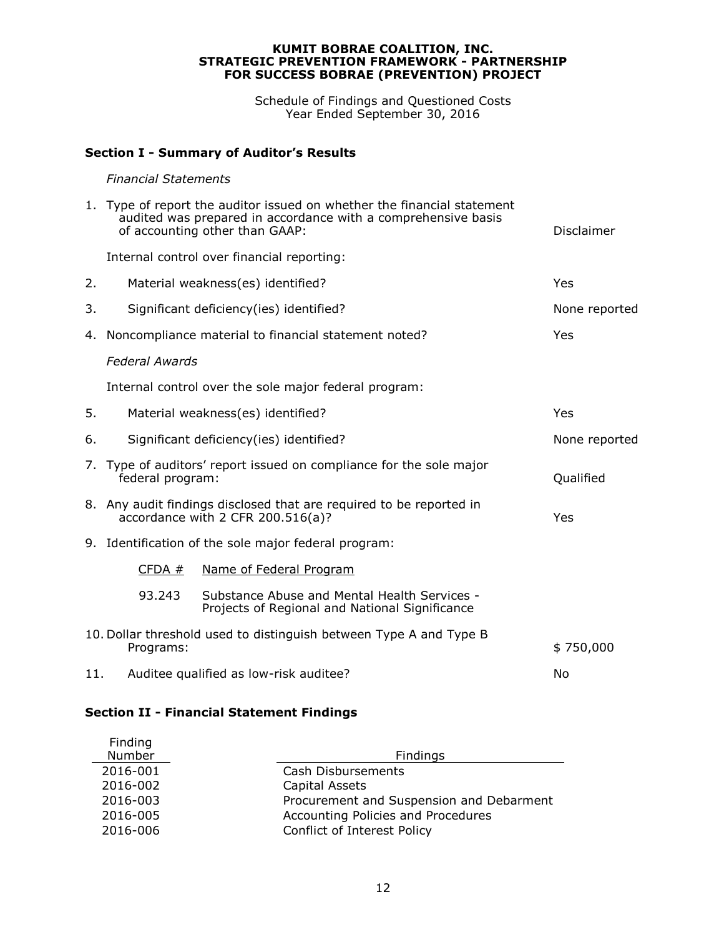Schedule of Findings and Questioned Costs Year Ended September 30, 2016

# **Section I - Summary of Auditor's Results**

#### *Financial Statements*

|    | 1. Type of report the auditor issued on whether the financial statement<br>audited was prepared in accordance with a comprehensive basis<br>of accounting other than GAAP: | <b>Disclaimer</b>                                                                              |               |  |  |  |
|----|----------------------------------------------------------------------------------------------------------------------------------------------------------------------------|------------------------------------------------------------------------------------------------|---------------|--|--|--|
|    |                                                                                                                                                                            | Internal control over financial reporting:                                                     |               |  |  |  |
| 2. |                                                                                                                                                                            | Material weakness(es) identified?                                                              | Yes           |  |  |  |
| 3. |                                                                                                                                                                            | Significant deficiency(ies) identified?                                                        | None reported |  |  |  |
| 4. |                                                                                                                                                                            | Noncompliance material to financial statement noted?                                           | Yes           |  |  |  |
|    | <b>Federal Awards</b>                                                                                                                                                      |                                                                                                |               |  |  |  |
|    |                                                                                                                                                                            | Internal control over the sole major federal program:                                          |               |  |  |  |
| 5. |                                                                                                                                                                            | Material weakness(es) identified?                                                              | Yes           |  |  |  |
| 6. | Significant deficiency(ies) identified?<br>None reported                                                                                                                   |                                                                                                |               |  |  |  |
| 7. | Type of auditors' report issued on compliance for the sole major<br>federal program:<br>Qualified                                                                          |                                                                                                |               |  |  |  |
|    | 8. Any audit findings disclosed that are required to be reported in<br>accordance with 2 CFR 200.516(a)?<br>Yes                                                            |                                                                                                |               |  |  |  |
|    |                                                                                                                                                                            | 9. Identification of the sole major federal program:                                           |               |  |  |  |
|    | CFDA#                                                                                                                                                                      | Name of Federal Program                                                                        |               |  |  |  |
|    | 93.243                                                                                                                                                                     | Substance Abuse and Mental Health Services -<br>Projects of Regional and National Significance |               |  |  |  |
|    | Programs:                                                                                                                                                                  | 10. Dollar threshold used to distinguish between Type A and Type B                             | \$750,000     |  |  |  |
|    | Auditee qualified as low-risk auditee?<br>11.<br>No                                                                                                                        |                                                                                                |               |  |  |  |

# **Section II - Financial Statement Findings**

| Finding<br>Number | Findings                                 |
|-------------------|------------------------------------------|
| 2016-001          | Cash Disbursements                       |
| 2016-002          | Capital Assets                           |
| 2016-003          | Procurement and Suspension and Debarment |
| 2016-005          | Accounting Policies and Procedures       |
| 2016-006          | Conflict of Interest Policy              |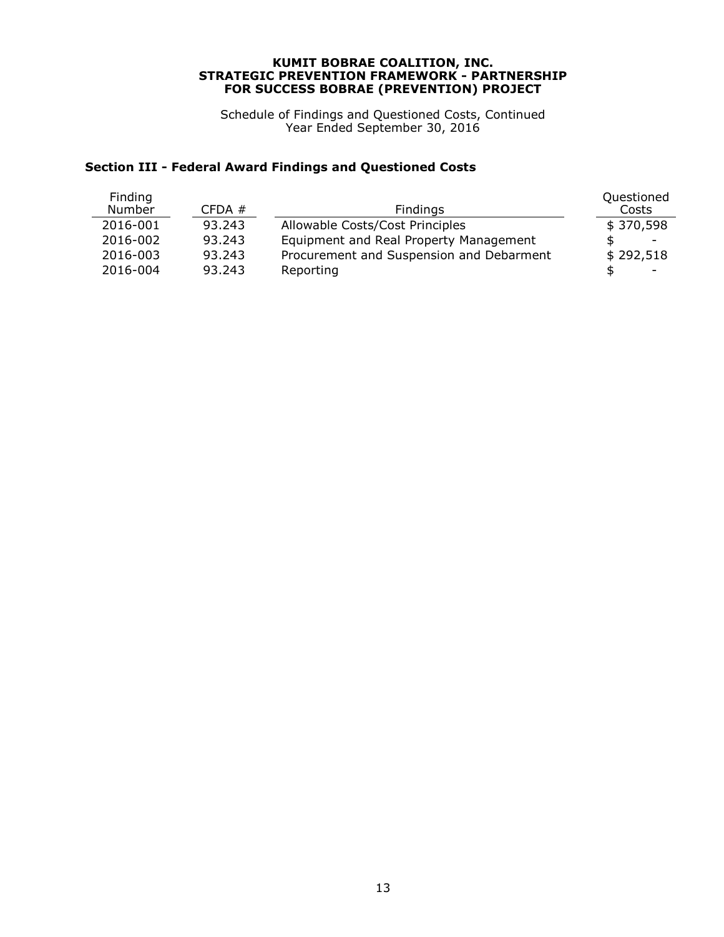Schedule of Findings and Questioned Costs, Continued Year Ended September 30, 2016

# **Section III - Federal Award Findings and Questioned Costs**

| CFDA#  | Findings                                 | Questioned<br>Costs |
|--------|------------------------------------------|---------------------|
| 93.243 | Allowable Costs/Cost Principles          | \$370,598           |
| 93.243 | Equipment and Real Property Management   | -                   |
| 93.243 | Procurement and Suspension and Debarment | \$292,518           |
| 93.243 | Reporting                                |                     |
|        |                                          |                     |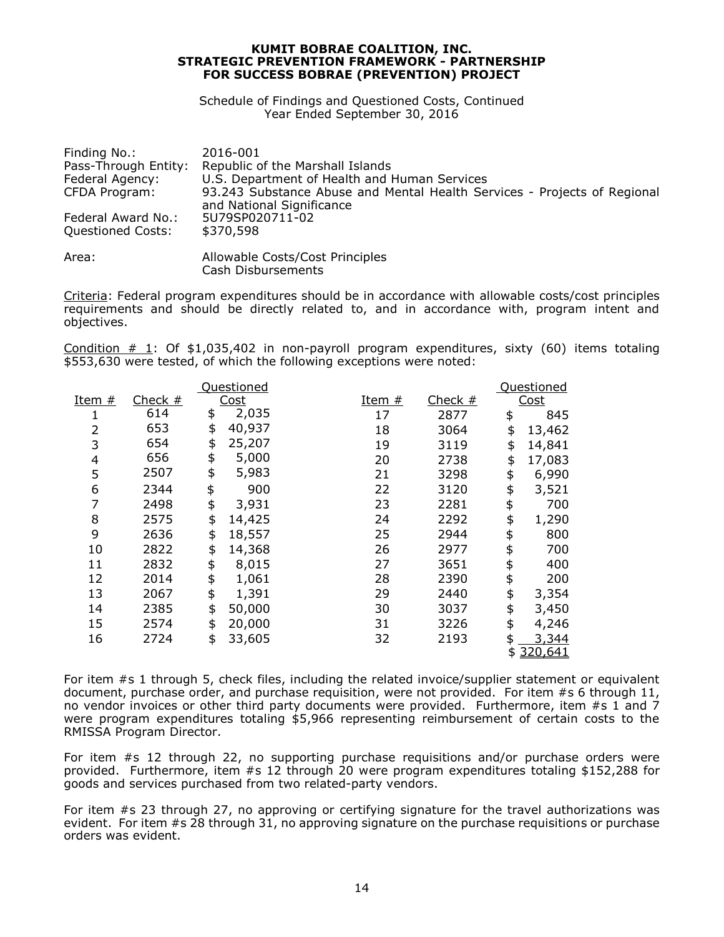Schedule of Findings and Questioned Costs, Continued Year Ended September 30, 2016

| Finding No.:<br>Pass-Through Entity: | 2016-001<br>Republic of the Marshall Islands                                                          |
|--------------------------------------|-------------------------------------------------------------------------------------------------------|
| Federal Agency:                      | U.S. Department of Health and Human Services                                                          |
| CFDA Program:                        | 93.243 Substance Abuse and Mental Health Services - Projects of Regional<br>and National Significance |
| Federal Award No.:                   | 5U79SP020711-02                                                                                       |
| <b>Questioned Costs:</b>             | \$370,598                                                                                             |
| Area:                                | Allowable Costs/Cost Principles<br>Cash Disbursements                                                 |

Criteria: Federal program expenditures should be in accordance with allowable costs/cost principles requirements and should be directly related to, and in accordance with, program intent and objectives.

Condition # 1: Of \$1,035,402 in non-payroll program expenditures, sixty (60) items totaling \$553,630 were tested, of which the following exceptions were noted:

|        |           | Questioned   |               |           | Questioned    |
|--------|-----------|--------------|---------------|-----------|---------------|
| Item # | Check $#$ | <u>Cost</u>  | <u>Item #</u> | Check $#$ | <u>Cost</u>   |
|        | 614       | \$<br>2,035  | 17            | 2877      | \$<br>845     |
| 2      | 653       | \$<br>40,937 | 18            | 3064      | \$<br>13,462  |
| 3      | 654       | \$<br>25,207 | 19            | 3119      | \$<br>14,841  |
| 4      | 656       | \$<br>5,000  | 20            | 2738      | \$<br>17,083  |
| 5      | 2507      | \$<br>5,983  | 21            | 3298      | \$<br>6,990   |
| 6      | 2344      | \$<br>900    | 22            | 3120      | \$<br>3,521   |
| 7      | 2498      | \$<br>3,931  | 23            | 2281      | \$<br>700     |
| 8      | 2575      | \$<br>14,425 | 24            | 2292      | \$<br>1,290   |
| 9      | 2636      | \$<br>18,557 | 25            | 2944      | \$<br>800     |
| 10     | 2822      | \$<br>14,368 | 26            | 2977      | \$<br>700     |
| 11     | 2832      | \$<br>8,015  | 27            | 3651      | \$<br>400     |
| 12     | 2014      | \$<br>1,061  | 28            | 2390      | \$<br>200     |
| 13     | 2067      | \$<br>1,391  | 29            | 2440      | \$<br>3,354   |
| 14     | 2385      | \$<br>50,000 | 30            | 3037      | \$<br>3,450   |
| 15     | 2574      | \$<br>20,000 | 31            | 3226      | \$<br>4,246   |
| 16     | 2724      | \$<br>33,605 | 32            | 2193      | \$<br>3,344   |
|        |           |              |               |           | \$<br>320,641 |

For item #s 1 through 5, check files, including the related invoice/supplier statement or equivalent document, purchase order, and purchase requisition, were not provided. For item #s 6 through 11, no vendor invoices or other third party documents were provided. Furthermore, item #s 1 and 7 were program expenditures totaling \$5,966 representing reimbursement of certain costs to the RMISSA Program Director.

For item #s 12 through 22, no supporting purchase requisitions and/or purchase orders were provided. Furthermore, item #s 12 through 20 were program expenditures totaling \$152,288 for goods and services purchased from two related-party vendors.

For item #s 23 through 27, no approving or certifying signature for the travel authorizations was evident. For item #s 28 through 31, no approving signature on the purchase requisitions or purchase orders was evident.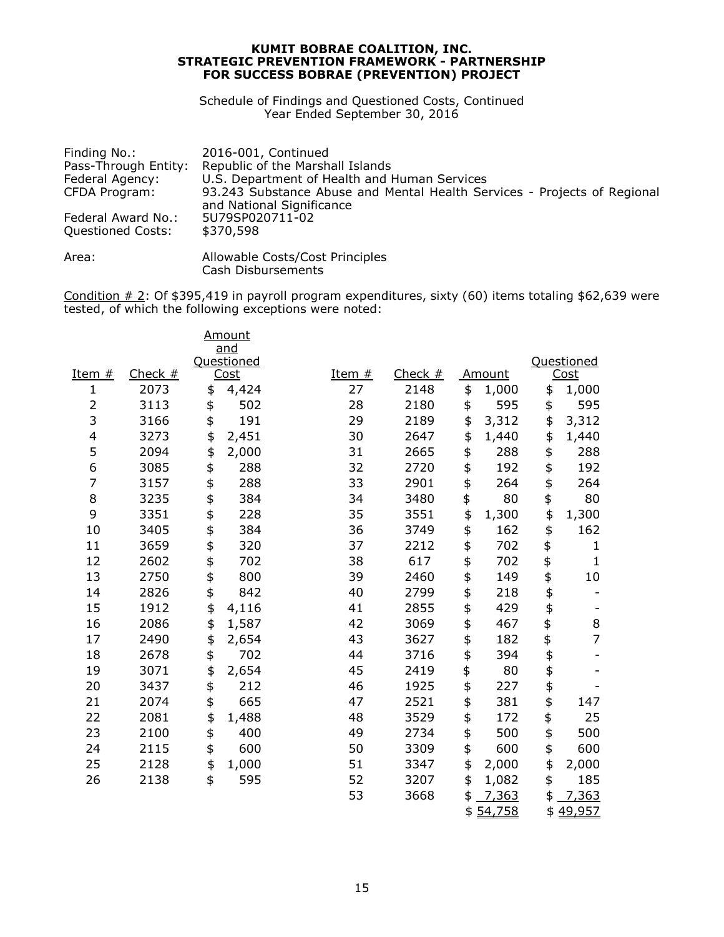Schedule of Findings and Questioned Costs, Continued Year Ended September 30, 2016

| Finding No.:<br>Pass-Through Entity:    | 2016-001, Continued<br>Republic of the Marshall Islands                                               |
|-----------------------------------------|-------------------------------------------------------------------------------------------------------|
| Federal Agency:                         | U.S. Department of Health and Human Services                                                          |
| CFDA Program:                           | 93.243 Substance Abuse and Mental Health Services - Projects of Regional<br>and National Significance |
| Federal Award No.:<br>Questioned Costs: | 5U79SP020711-02<br>\$370,598                                                                          |
| Area:                                   | Allowable Costs/Cost Principles                                                                       |

Cash Disbursements

Condition  $\#$  2: Of \$395,419 in payroll program expenditures, sixty (60) items totaling \$62,639 were  $\frac{1}{2}$  of  $\frac{1}{2}$  of  $\frac{1}{2}$  or  $\frac{1}{2}$  is  $\frac{1}{2}$  in payron program experience.

|                          |           | Amount<br>and |          |           |          |        |          |                |
|--------------------------|-----------|---------------|----------|-----------|----------|--------|----------|----------------|
|                          |           | Questioned    |          |           |          |        |          | Questioned     |
| Item $#$                 | Check $#$ | Cost          | Item $#$ | Check $#$ |          | Amount |          | Cost           |
| $\mathbf{1}$             | 2073      | \$<br>4,424   | 27       | 2148      | \$       | 1,000  | \$       | 1,000          |
| 2                        | 3113      | \$<br>502     | 28       | 2180      | \$       | 595    | \$       | 595            |
| 3                        | 3166      | \$<br>191     | 29       | 2189      | \$       | 3,312  | \$       | 3,312          |
| $\overline{\mathcal{L}}$ | 3273      | \$<br>2,451   | 30       | 2647      | \$       | 1,440  | \$       | 1,440          |
| 5                        | 2094      | \$<br>2,000   | 31       | 2665      | \$       | 288    | \$       | 288            |
| 6                        | 3085      | \$<br>288     | 32       | 2720      | \$       | 192    | \$       | 192            |
| $\overline{7}$           | 3157      | \$<br>288     | 33       | 2901      | \$       | 264    | \$       | 264            |
| 8                        | 3235      | \$<br>384     | 34       | 3480      | \$       | 80     | \$       | 80             |
| 9                        | 3351      | \$<br>228     | 35       | 3551      | \$       | 1,300  | \$       | 1,300          |
| 10                       | 3405      | \$<br>384     | 36       | 3749      | \$       | 162    | \$       | 162            |
| 11                       | 3659      | \$<br>320     | 37       | 2212      | \$       | 702    | \$       | $\mathbf{1}$   |
| 12                       | 2602      | \$<br>702     | 38       | 617       | \$       | 702    | \$       | $\mathbf{1}$   |
| 13                       | 2750      | \$<br>800     | 39       | 2460      | \$       | 149    | \$       | $10\,$         |
| 14                       | 2826      | \$<br>842     | 40       | 2799      | \$       | 218    | \$       |                |
| 15                       | 1912      | \$<br>4,116   | 41       | 2855      | \$       | 429    | \$       |                |
| 16                       | 2086      | \$<br>1,587   | 42       | 3069      | \$       | 467    | \$       | 8              |
| 17                       | 2490      | \$<br>2,654   | 43       | 3627      | \$       | 182    | \$       | $\overline{7}$ |
| 18                       | 2678      | \$<br>702     | 44       | 3716      |          | 394    |          |                |
| 19                       | 3071      | \$<br>2,654   | 45       | 2419      | \$<br>\$ | 80     | \$<br>\$ |                |
| 20                       | 3437      | \$<br>212     | 46       | 1925      | \$       | 227    | \$       |                |
| 21                       | 2074      | \$<br>665     | 47       | 2521      | \$       | 381    | \$       | 147            |
| 22                       | 2081      | \$<br>1,488   | 48       | 3529      | \$       | 172    | \$       | 25             |
| 23                       | 2100      | \$<br>400     | 49       | 2734      | \$       | 500    | \$       | 500            |
| 24                       | 2115      | \$<br>600     | 50       | 3309      | \$       | 600    | \$       | 600            |
| 25                       | 2128      | \$<br>1,000   | 51       | 3347      | \$       | 2,000  | \$       | 2,000          |
| 26                       | 2138      | \$<br>595     | 52       | 3207      | \$       | 1,082  | \$       | 185            |
|                          |           |               | 53       | 3668      | \$       | 7,363  | \$       | 7,363          |
|                          |           |               |          |           | \$       | 54,758 | \$       | 49,957         |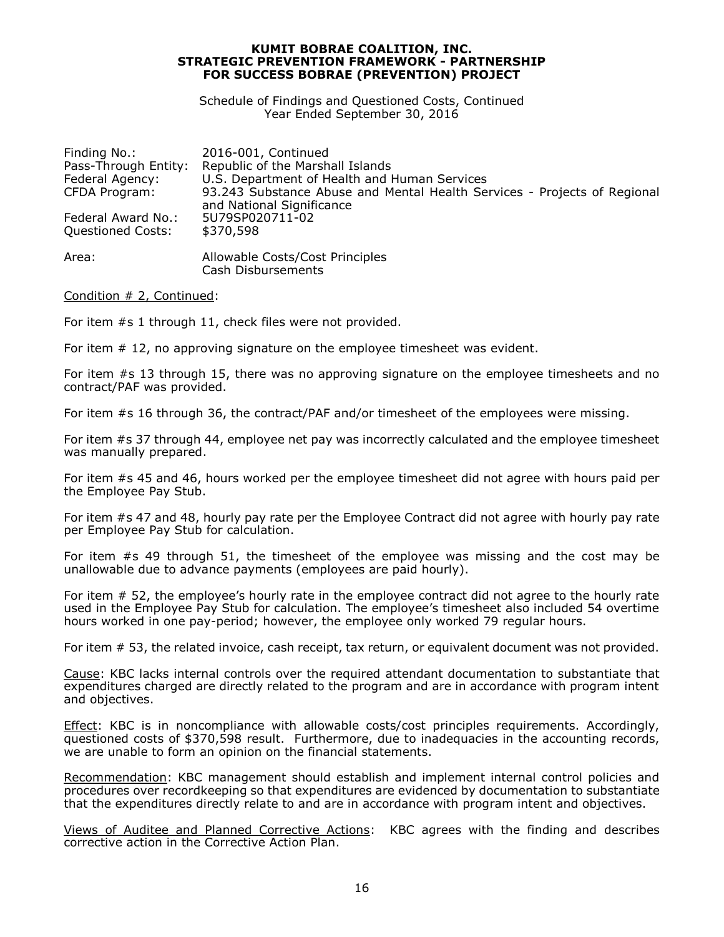Schedule of Findings and Questioned Costs, Continued Year Ended September 30, 2016

| Finding No.:             | 2016-001, Continued                                                      |
|--------------------------|--------------------------------------------------------------------------|
| Pass-Through Entity:     | Republic of the Marshall Islands                                         |
| Federal Agency:          | U.S. Department of Health and Human Services                             |
| CFDA Program:            | 93.243 Substance Abuse and Mental Health Services - Projects of Regional |
|                          | and National Significance                                                |
| Federal Award No.:       | 5U79SP020711-02                                                          |
| <b>Questioned Costs:</b> | \$370,598                                                                |
| Area:                    | Allowable Costs/Cost Principles<br>Cash Disbursements                    |

Condition # 2, Continued:

For item #s 1 through 11, check files were not provided.

For item # 12, no approving signature on the employee timesheet was evident.

For item #s 13 through 15, there was no approving signature on the employee timesheets and no contract/PAF was provided.

For item #s 16 through 36, the contract/PAF and/or timesheet of the employees were missing.

For item #s 37 through 44, employee net pay was incorrectly calculated and the employee timesheet was manually prepared.

For item #s 45 and 46, hours worked per the employee timesheet did not agree with hours paid per the Employee Pay Stub.

For item #s 47 and 48, hourly pay rate per the Employee Contract did not agree with hourly pay rate per Employee Pay Stub for calculation.

For item #s 49 through 51, the timesheet of the employee was missing and the cost may be unallowable due to advance payments (employees are paid hourly).

For item # 52, the employee's hourly rate in the employee contract did not agree to the hourly rate used in the Employee Pay Stub for calculation. The employee's timesheet also included 54 overtime hours worked in one pay-period; however, the employee only worked 79 regular hours.

For item # 53, the related invoice, cash receipt, tax return, or equivalent document was not provided.

Cause: KBC lacks internal controls over the required attendant documentation to substantiate that expenditures charged are directly related to the program and are in accordance with program intent and objectives.

Effect: KBC is in noncompliance with allowable costs/cost principles requirements. Accordingly, questioned costs of \$370,598 result. Furthermore, due to inadequacies in the accounting records, we are unable to form an opinion on the financial statements.

Recommendation: KBC management should establish and implement internal control policies and procedures over recordkeeping so that expenditures are evidenced by documentation to substantiate that the expenditures directly relate to and are in accordance with program intent and objectives.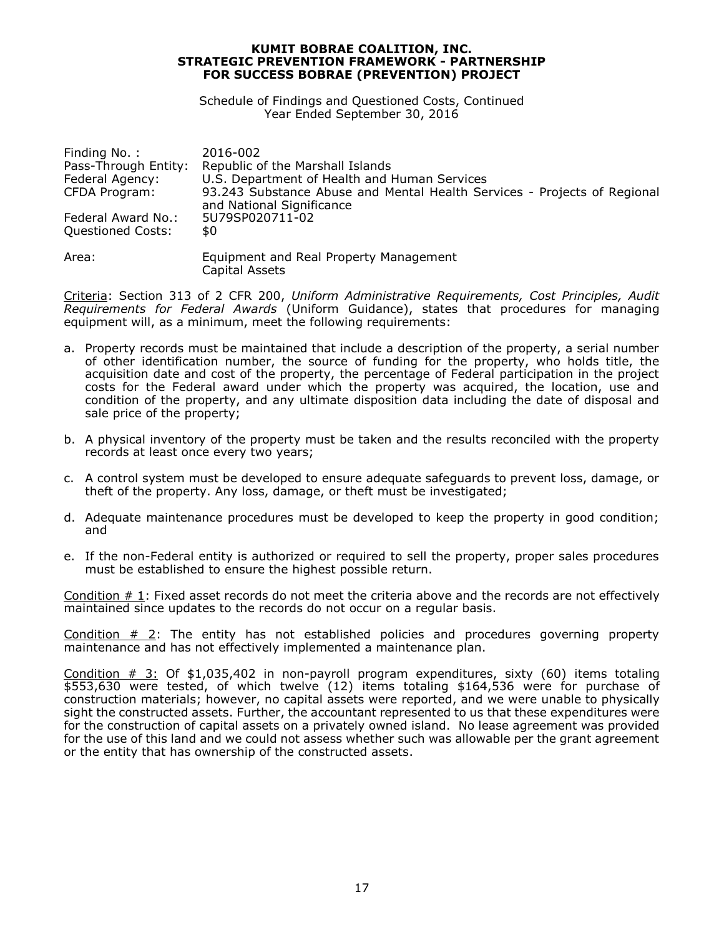Schedule of Findings and Questioned Costs, Continued Year Ended September 30, 2016

| Finding No.:             | 2016-002                                                                                              |
|--------------------------|-------------------------------------------------------------------------------------------------------|
| Pass-Through Entity:     | Republic of the Marshall Islands                                                                      |
| Federal Agency:          | U.S. Department of Health and Human Services                                                          |
| CFDA Program:            | 93.243 Substance Abuse and Mental Health Services - Projects of Regional<br>and National Significance |
| Federal Award No.:       | 5U79SP020711-02                                                                                       |
| <b>Questioned Costs:</b> | \$0                                                                                                   |
|                          |                                                                                                       |
| Area:                    | Equipment and Real Property Management                                                                |
|                          | Capital Assets                                                                                        |

Criteria: Section 313 of 2 CFR 200, *Uniform Administrative Requirements, Cost Principles, Audit Requirements for Federal Awards* (Uniform Guidance), states that procedures for managing equipment will, as a minimum, meet the following requirements:

- a. Property records must be maintained that include a description of the property, a serial number of other identification number, the source of funding for the property, who holds title, the acquisition date and cost of the property, the percentage of Federal participation in the project costs for the Federal award under which the property was acquired, the location, use and condition of the property, and any ultimate disposition data including the date of disposal and sale price of the property;
- b. A physical inventory of the property must be taken and the results reconciled with the property records at least once every two years;
- c. A control system must be developed to ensure adequate safeguards to prevent loss, damage, or theft of the property. Any loss, damage, or theft must be investigated;
- d. Adequate maintenance procedures must be developed to keep the property in good condition; and
- e. If the non-Federal entity is authorized or required to sell the property, proper sales procedures must be established to ensure the highest possible return.

Condition # 1: Fixed asset records do not meet the criteria above and the records are not effectively maintained since updates to the records do not occur on a regular basis.

Condition # 2: The entity has not established policies and procedures governing property maintenance and has not effectively implemented a maintenance plan.

Condition  $\#$  3: Of \$1,035,402 in non-payroll program expenditures, sixty (60) items totaling \$553,630 were tested, of which twelve (12) items totaling \$164,536 were for purchase of construction materials; however, no capital assets were reported, and we were unable to physically sight the constructed assets. Further, the accountant represented to us that these expenditures were for the construction of capital assets on a privately owned island. No lease agreement was provided for the use of this land and we could not assess whether such was allowable per the grant agreement or the entity that has ownership of the constructed assets.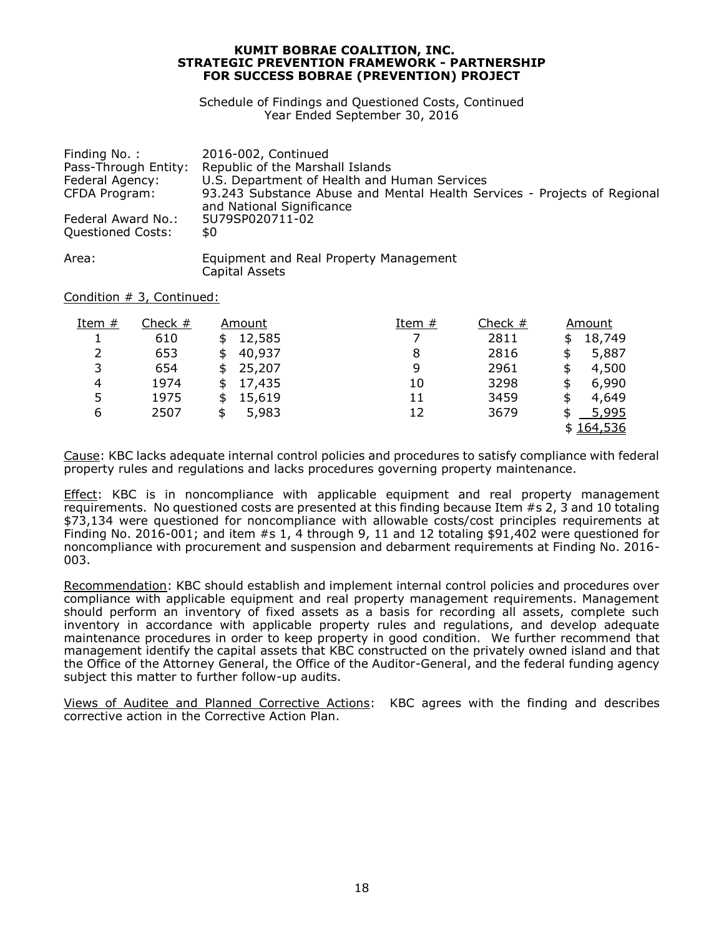Schedule of Findings and Questioned Costs, Continued Year Ended September 30, 2016

| Finding No.:         | 2016-002, Continued                                                                                   |
|----------------------|-------------------------------------------------------------------------------------------------------|
| Pass-Through Entity: | Republic of the Marshall Islands                                                                      |
| Federal Agency:      | U.S. Department of Health and Human Services                                                          |
| CFDA Program:        | 93.243 Substance Abuse and Mental Health Services - Projects of Regional<br>and National Significance |
| Federal Award No.:   | 5U79SP020711-02                                                                                       |
| Questioned Costs:    | \$0                                                                                                   |
| Area:                | Equipment and Real Property Management                                                                |

Capital Assets

Condition # 3, Continued:

| Item $#$ | Check $#$ | Amount       | Item $#$ | Check $#$ | Amount       |
|----------|-----------|--------------|----------|-----------|--------------|
|          | 610       | 12,585<br>\$ | 7        | 2811      | \$<br>18,749 |
| 2        | 653       | 40,937<br>\$ | 8        | 2816      | \$<br>5,887  |
| 3        | 654       | 25,207<br>\$ | 9        | 2961      | \$<br>4,500  |
| 4        | 1974      | 17,435<br>\$ | 10       | 3298      | \$<br>6,990  |
| 5        | 1975      | 15,619       | 11       | 3459      | \$<br>4,649  |
| 6        | 2507      | 5,983<br>\$  | 12       | 3679      | \$<br>5,995  |
|          |           |              |          |           | \$164,536    |

Cause: KBC lacks adequate internal control policies and procedures to satisfy compliance with federal property rules and regulations and lacks procedures governing property maintenance.

Effect: KBC is in noncompliance with applicable equipment and real property management requirements. No questioned costs are presented at this finding because Item #s 2, 3 and 10 totaling \$73,134 were questioned for noncompliance with allowable costs/cost principles requirements at Finding No. 2016-001; and item #s 1, 4 through 9, 11 and 12 totaling \$91,402 were questioned for noncompliance with procurement and suspension and debarment requirements at Finding No. 2016- 003.

Recommendation: KBC should establish and implement internal control policies and procedures over compliance with applicable equipment and real property management requirements. Management should perform an inventory of fixed assets as a basis for recording all assets, complete such inventory in accordance with applicable property rules and regulations, and develop adequate maintenance procedures in order to keep property in good condition. We further recommend that management identify the capital assets that KBC constructed on the privately owned island and that the Office of the Attorney General, the Office of the Auditor-General, and the federal funding agency subject this matter to further follow-up audits.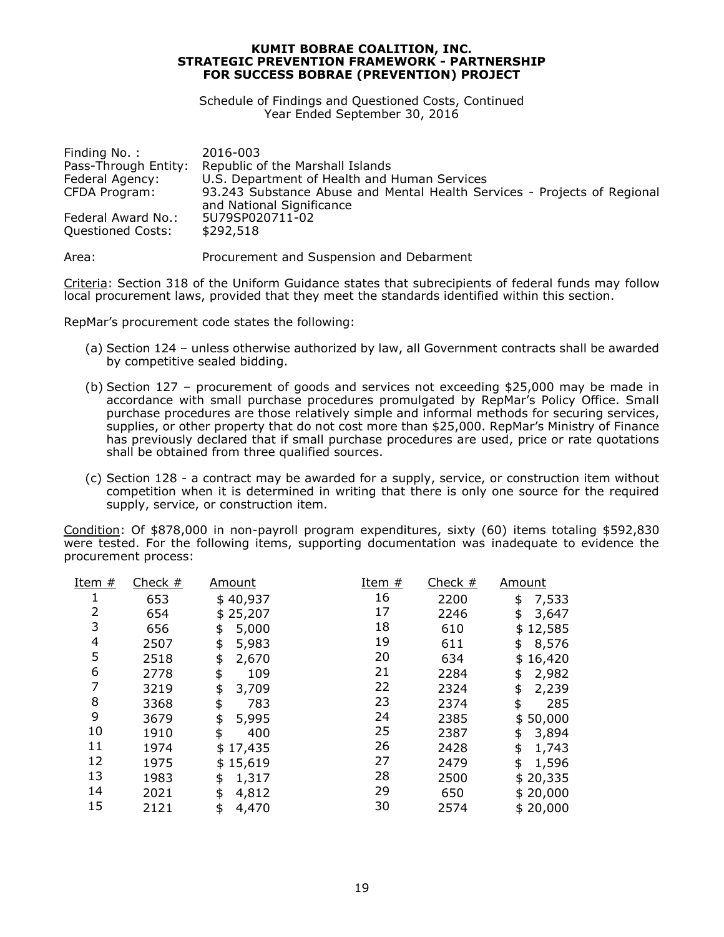Schedule of Findings and Questioned Costs, Continued Year Ended September 30, 2016

| Finding No.:         | 2016-003                                                                                              |
|----------------------|-------------------------------------------------------------------------------------------------------|
| Pass-Through Entity: | Republic of the Marshall Islands                                                                      |
| Federal Agency:      | U.S. Department of Health and Human Services                                                          |
| CFDA Program:        | 93.243 Substance Abuse and Mental Health Services - Projects of Regional<br>and National Significance |
| Federal Award No.:   | 5U79SP020711-02                                                                                       |
| Questioned Costs:    | \$292,518                                                                                             |

Area: Procurement and Suspension and Debarment

Criteria: Section 318 of the Uniform Guidance states that subrecipients of federal funds may follow local procurement laws, provided that they meet the standards identified within this section.

RepMar's procurement code states the following:

- (a) Section 124 unless otherwise authorized by law, all Government contracts shall be awarded by competitive sealed bidding.
- (b) Section 127 procurement of goods and services not exceeding \$25,000 may be made in accordance with small purchase procedures promulgated by RepMar's Policy Office. Small purchase procedures are those relatively simple and informal methods for securing services, supplies, or other property that do not cost more than \$25,000. RepMar's Ministry of Finance has previously declared that if small purchase procedures are used, price or rate quotations shall be obtained from three qualified sources.
- (c) Section 128 a contract may be awarded for a supply, service, or construction item without competition when it is determined in writing that there is only one source for the required supply, service, or construction item.

Condition: Of \$878,000 in non-payroll program expenditures, sixty (60) items totaling \$592,830 were tested. For the following items, supporting documentation was inadequate to evidence the procurement process:

| Item # | Check $#$ | <u>Amount</u> | <u>Item #</u> | Check $#$ | <u>Amount</u> |
|--------|-----------|---------------|---------------|-----------|---------------|
| 1      | 653       | \$40,937      | 16            | 2200      | 7,533<br>\$   |
| 2      | 654       | \$25,207      | 17            | 2246      | 3,647<br>\$   |
| 3      | 656       | 5,000<br>\$   | 18            | 610       | 12,585<br>\$  |
| 4      | 2507      | \$<br>5,983   | 19            | 611       | 8,576<br>\$   |
| 5      | 2518      | 2,670<br>\$   | 20            | 634       | \$16,420      |
| 6      | 2778      | \$<br>109     | 21            | 2284      | 2,982<br>\$   |
| 7      | 3219      | \$<br>3,709   | 22            | 2324      | 2,239<br>\$   |
| 8      | 3368      | \$<br>783     | 23            | 2374      | 285<br>\$     |
| 9      | 3679      | \$<br>5,995   | 24            | 2385      | \$50,000      |
| 10     | 1910      | \$<br>400     | 25            | 2387      | 3,894<br>\$   |
| 11     | 1974      | \$17,435      | 26            | 2428      | 1,743<br>\$   |
| 12     | 1975      | \$15,619      | 27            | 2479      | 1,596<br>\$   |
| 13     | 1983      | 1,317<br>\$   | 28            | 2500      | \$20,335      |
| 14     | 2021      | \$<br>4,812   | 29            | 650       | \$20,000      |
| 15     | 2121      | \$<br>4,470   | 30            | 2574      | \$20,000      |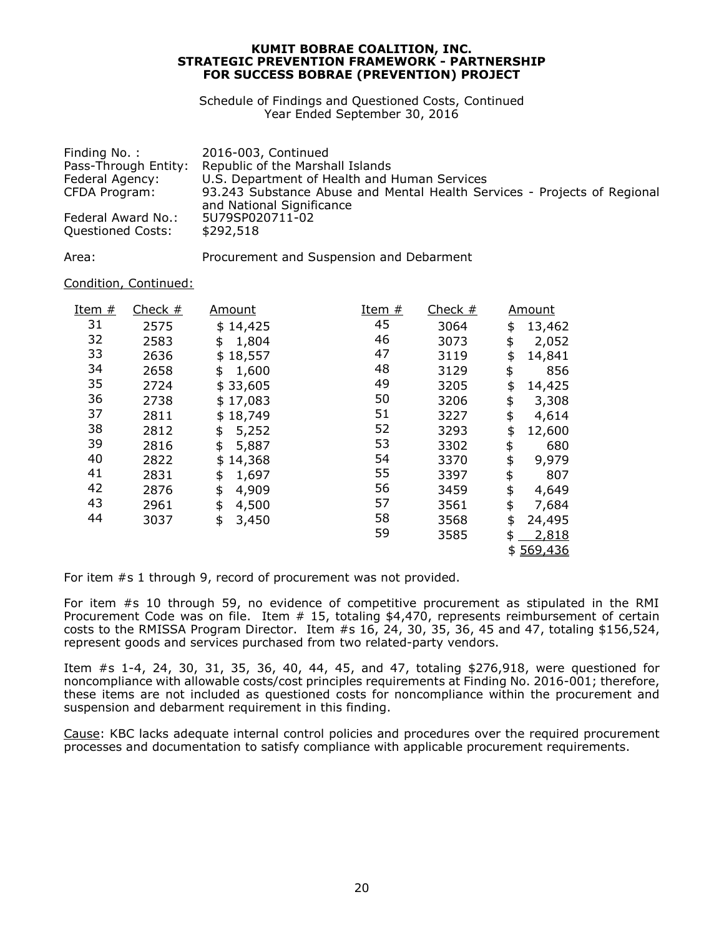Schedule of Findings and Questioned Costs, Continued Year Ended September 30, 2016

| Finding No.:         | 2016-003, Continued                                                                                   |
|----------------------|-------------------------------------------------------------------------------------------------------|
| Pass-Through Entity: | Republic of the Marshall Islands                                                                      |
| Federal Agency:      | U.S. Department of Health and Human Services                                                          |
| CFDA Program:        | 93.243 Substance Abuse and Mental Health Services - Projects of Regional<br>and National Significance |
| Federal Award No.:   | 5U79SP020711-02                                                                                       |
| Questioned Costs:    | \$292,518                                                                                             |

Area: Procurement and Suspension and Debarment

# Condition, Continued:

| Item $#$ | Check $#$ | <b>Amount</b> | <u>Item #</u> | Check $#$ | <b>Amount</b> |
|----------|-----------|---------------|---------------|-----------|---------------|
| 31       | 2575      | \$14,425      | 45            | 3064      | \$<br>13,462  |
| 32       | 2583      | 1,804<br>\$   | 46            | 3073      | \$<br>2,052   |
| 33       | 2636      | 18,557<br>\$  | 47            | 3119      | \$<br>14,841  |
| 34       | 2658      | 1,600<br>\$   | 48            | 3129      | \$<br>856     |
| 35       | 2724      | \$33,605      | 49            | 3205      | \$<br>14,425  |
| 36       | 2738      | \$17,083      | 50            | 3206      | \$<br>3,308   |
| 37       | 2811      | 18,749<br>\$  | 51            | 3227      | \$<br>4,614   |
| 38       | 2812      | 5,252<br>\$   | 52            | 3293      | \$<br>12,600  |
| 39       | 2816      | \$<br>5,887   | 53            | 3302      | \$<br>680     |
| 40       | 2822      | 14,368<br>\$  | 54            | 3370      | \$<br>9,979   |
| 41       | 2831      | 1,697<br>\$   | 55            | 3397      | \$<br>807     |
| 42       | 2876      | \$<br>4,909   | 56            | 3459      | \$<br>4,649   |
| 43       | 2961      | \$<br>4,500   | 57            | 3561      | \$<br>7,684   |
| 44       | 3037      | \$<br>3,450   | 58            | 3568      | \$<br>24,495  |
|          |           |               | 59            | 3585      | 2,818<br>\$   |
|          |           |               |               |           | 569,436<br>\$ |

For item #s 1 through 9, record of procurement was not provided.

For item #s 10 through 59, no evidence of competitive procurement as stipulated in the RMI Procurement Code was on file. Item # 15, totaling \$4,470, represents reimbursement of certain costs to the RMISSA Program Director. Item #s 16, 24, 30, 35, 36, 45 and 47, totaling \$156,524, represent goods and services purchased from two related-party vendors.

Item #s 1-4, 24, 30, 31, 35, 36, 40, 44, 45, and 47, totaling \$276,918, were questioned for noncompliance with allowable costs/cost principles requirements at Finding No. 2016-001; therefore, these items are not included as questioned costs for noncompliance within the procurement and suspension and debarment requirement in this finding.

Cause: KBC lacks adequate internal control policies and procedures over the required procurement processes and documentation to satisfy compliance with applicable procurement requirements.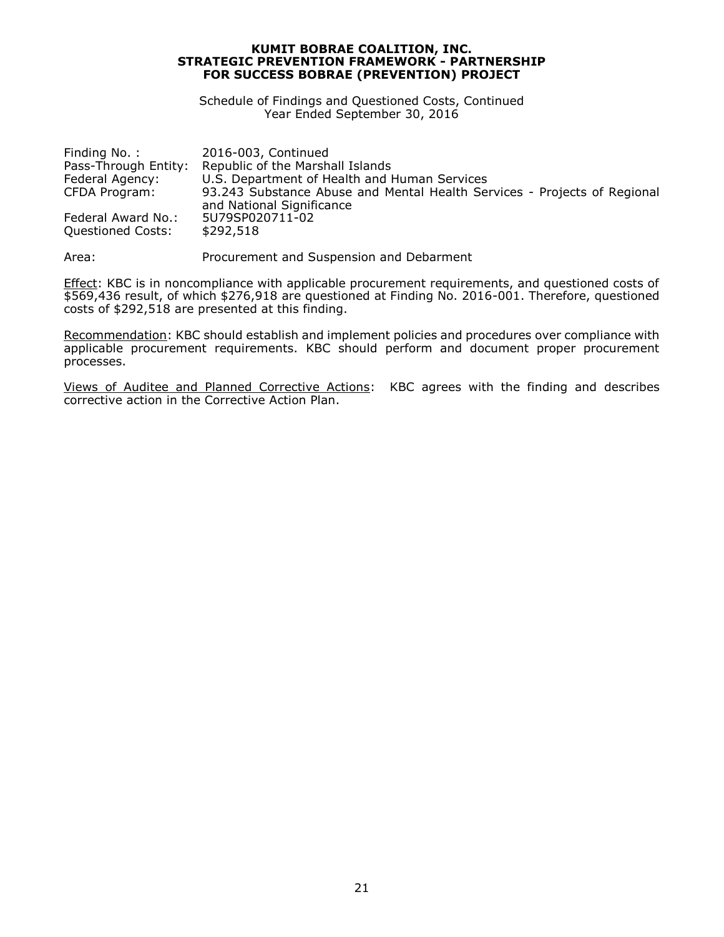Schedule of Findings and Questioned Costs, Continued Year Ended September 30, 2016

| Finding No.:         | 2016-003, Continued                                                                                   |
|----------------------|-------------------------------------------------------------------------------------------------------|
| Pass-Through Entity: | Republic of the Marshall Islands                                                                      |
| Federal Agency:      | U.S. Department of Health and Human Services                                                          |
| CFDA Program:        | 93.243 Substance Abuse and Mental Health Services - Projects of Regional<br>and National Significance |
| Federal Award No.:   | 5U79SP020711-02                                                                                       |
| Questioned Costs:    | \$292,518                                                                                             |

Area: Procurement and Suspension and Debarment

Effect: KBC is in noncompliance with applicable procurement requirements, and questioned costs of \$569,436 result, of which \$276,918 are questioned at Finding No. 2016-001. Therefore, questioned costs of \$292,518 are presented at this finding.

Recommendation: KBC should establish and implement policies and procedures over compliance with applicable procurement requirements. KBC should perform and document proper procurement processes.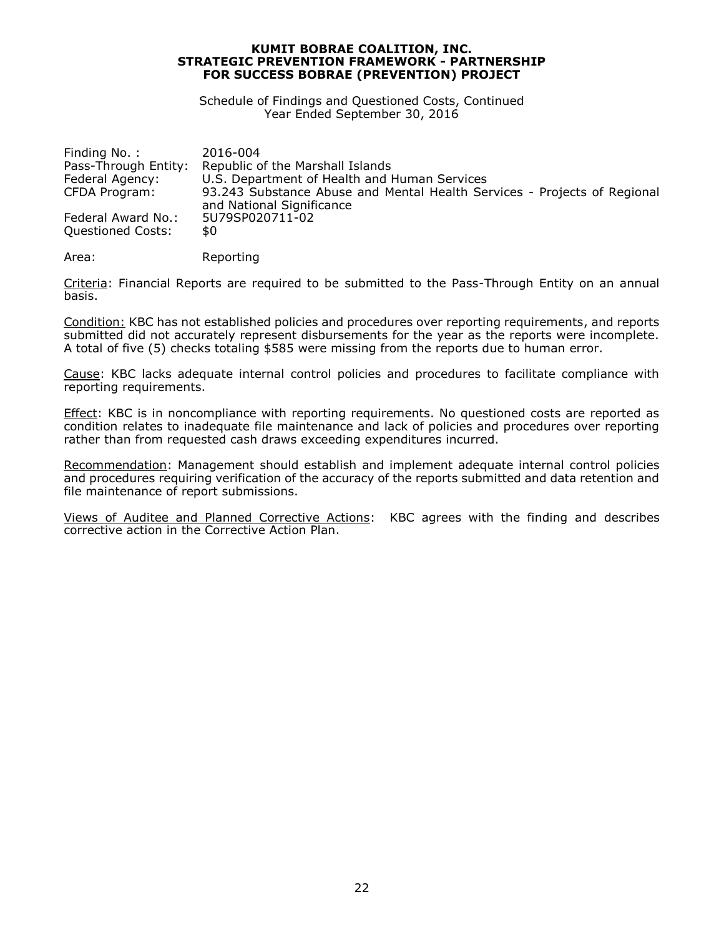Schedule of Findings and Questioned Costs, Continued Year Ended September 30, 2016

| 2016-004                                                                                              |
|-------------------------------------------------------------------------------------------------------|
| Republic of the Marshall Islands                                                                      |
| U.S. Department of Health and Human Services                                                          |
| 93.243 Substance Abuse and Mental Health Services - Projects of Regional<br>and National Significance |
| 5U79SP020711-02                                                                                       |
| \$0                                                                                                   |
|                                                                                                       |

Area: Reporting

Criteria: Financial Reports are required to be submitted to the Pass-Through Entity on an annual basis.

Condition: KBC has not established policies and procedures over reporting requirements, and reports submitted did not accurately represent disbursements for the year as the reports were incomplete. A total of five (5) checks totaling \$585 were missing from the reports due to human error.

Cause: KBC lacks adequate internal control policies and procedures to facilitate compliance with reporting requirements.

Effect: KBC is in noncompliance with reporting requirements. No questioned costs are reported as condition relates to inadequate file maintenance and lack of policies and procedures over reporting rather than from requested cash draws exceeding expenditures incurred.

Recommendation: Management should establish and implement adequate internal control policies and procedures requiring verification of the accuracy of the reports submitted and data retention and file maintenance of report submissions.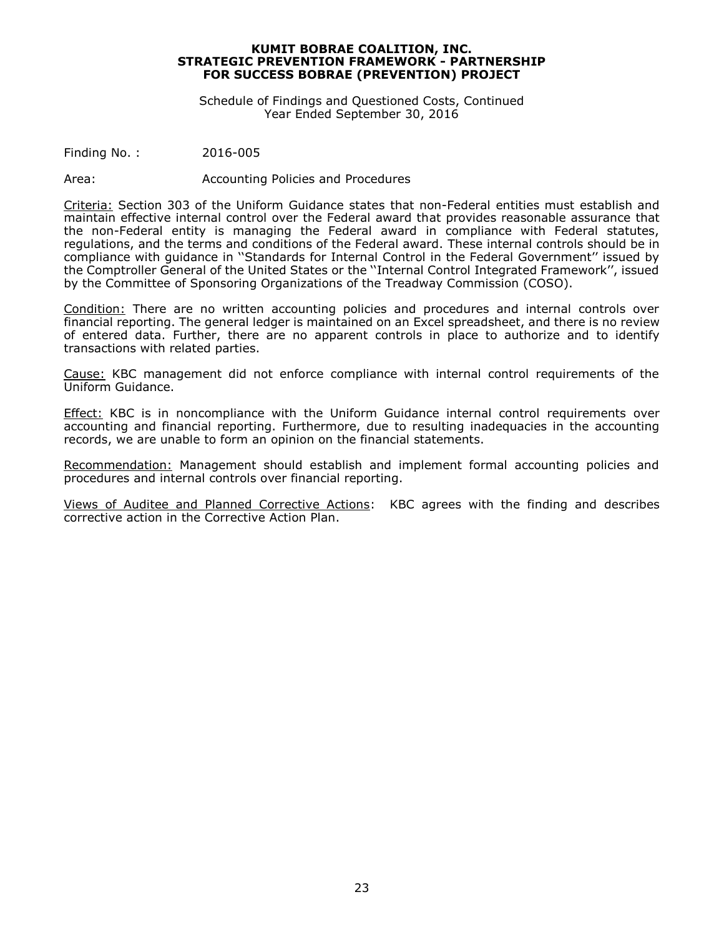Schedule of Findings and Questioned Costs, Continued Year Ended September 30, 2016

Finding No. : 2016-005

Area: Accounting Policies and Procedures

Criteria: Section 303 of the Uniform Guidance states that non-Federal entities must establish and maintain effective internal control over the Federal award that provides reasonable assurance that the non-Federal entity is managing the Federal award in compliance with Federal statutes, regulations, and the terms and conditions of the Federal award. These internal controls should be in compliance with guidance in ''Standards for Internal Control in the Federal Government'' issued by the Comptroller General of the United States or the ''Internal Control Integrated Framework'', issued by the Committee of Sponsoring Organizations of the Treadway Commission (COSO).

Condition: There are no written accounting policies and procedures and internal controls over financial reporting. The general ledger is maintained on an Excel spreadsheet, and there is no review of entered data. Further, there are no apparent controls in place to authorize and to identify transactions with related parties.

Cause: KBC management did not enforce compliance with internal control requirements of the Uniform Guidance.

Effect: KBC is in noncompliance with the Uniform Guidance internal control requirements over accounting and financial reporting. Furthermore, due to resulting inadequacies in the accounting records, we are unable to form an opinion on the financial statements.

Recommendation: Management should establish and implement formal accounting policies and procedures and internal controls over financial reporting.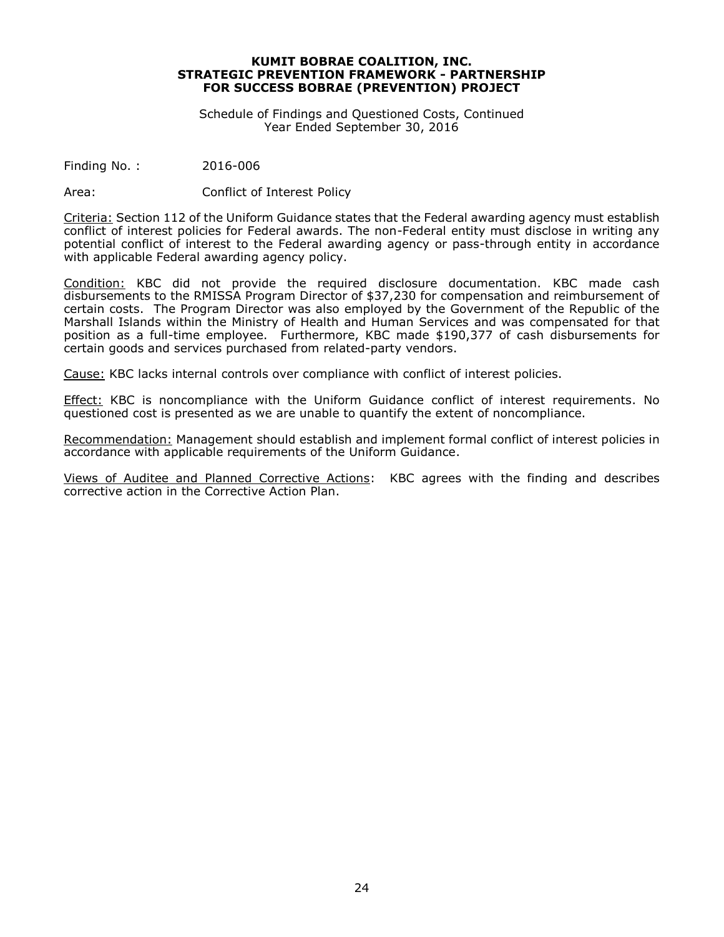Schedule of Findings and Questioned Costs, Continued Year Ended September 30, 2016

Finding No. : 2016-006

Area: Conflict of Interest Policy

Criteria: Section 112 of the Uniform Guidance states that the Federal awarding agency must establish conflict of interest policies for Federal awards. The non-Federal entity must disclose in writing any potential conflict of interest to the Federal awarding agency or pass-through entity in accordance with applicable Federal awarding agency policy.

Condition: KBC did not provide the required disclosure documentation. KBC made cash disbursements to the RMISSA Program Director of \$37,230 for compensation and reimbursement of certain costs. The Program Director was also employed by the Government of the Republic of the Marshall Islands within the Ministry of Health and Human Services and was compensated for that position as a full-time employee. Furthermore, KBC made \$190,377 of cash disbursements for certain goods and services purchased from related-party vendors.

Cause: KBC lacks internal controls over compliance with conflict of interest policies.

Effect: KBC is noncompliance with the Uniform Guidance conflict of interest requirements. No questioned cost is presented as we are unable to quantify the extent of noncompliance.

Recommendation: Management should establish and implement formal conflict of interest policies in accordance with applicable requirements of the Uniform Guidance.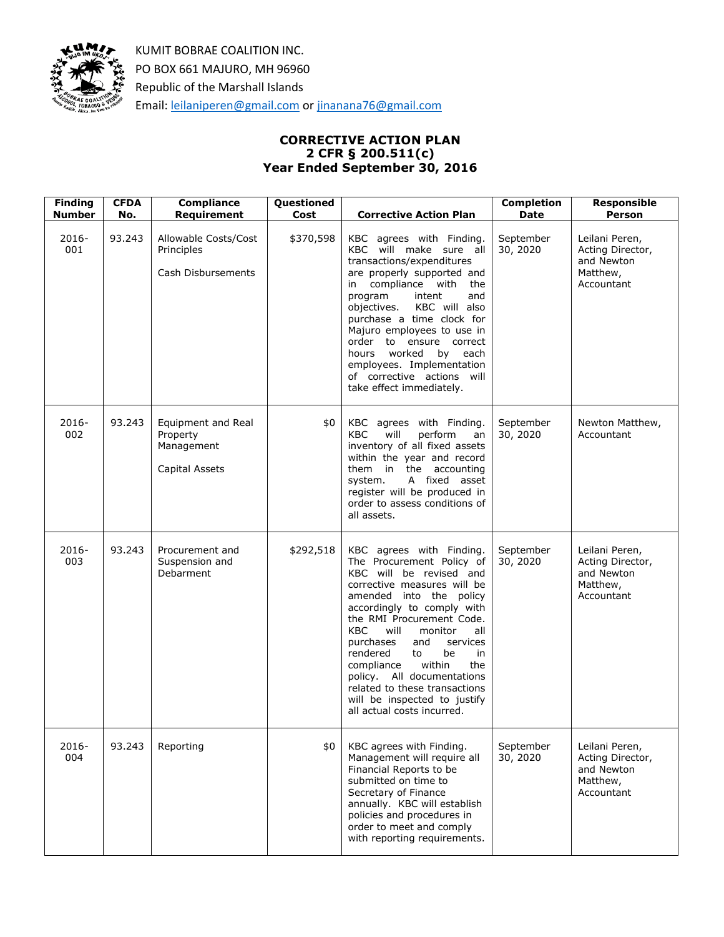

# **CORRECTIVE ACTION PLAN 2 CFR § 200.511(c) Year Ended September 30, 2016**

| <b>Finding</b><br><b>Number</b> | <b>CFDA</b><br>No. | <b>Compliance</b><br>Requirement                               | Questioned<br>Cost | <b>Corrective Action Plan</b>                                                                                                                                                                                                                                                                                                                                                                                                                                    | <b>Completion</b><br><b>Date</b> | <b>Responsible</b><br><b>Person</b>                                        |
|---------------------------------|--------------------|----------------------------------------------------------------|--------------------|------------------------------------------------------------------------------------------------------------------------------------------------------------------------------------------------------------------------------------------------------------------------------------------------------------------------------------------------------------------------------------------------------------------------------------------------------------------|----------------------------------|----------------------------------------------------------------------------|
| $2016 -$<br>001                 | 93.243             | Allowable Costs/Cost<br>Principles<br>Cash Disbursements       | \$370,598          | KBC agrees with Finding.<br>KBC will make sure all<br>transactions/expenditures<br>are properly supported and<br>in compliance with<br>the<br>program<br>intent<br>and<br>objectives.<br>KBC will also<br>purchase a time clock for<br>Majuro employees to use in<br>order to ensure correct<br>hours<br>worked<br>by each<br>employees. Implementation<br>of corrective actions will<br>take effect immediately.                                                | September<br>30, 2020            | Leilani Peren,<br>Acting Director,<br>and Newton<br>Matthew,<br>Accountant |
| $2016 -$<br>002                 | 93.243             | Equipment and Real<br>Property<br>Management<br>Capital Assets | \$0                | KBC agrees with Finding.<br>KBC<br>will<br>perform<br>an<br>inventory of all fixed assets<br>within the year and record<br>them in the accounting<br>A fixed asset<br>system.<br>register will be produced in<br>order to assess conditions of<br>all assets.                                                                                                                                                                                                    | September<br>30, 2020            | Newton Matthew,<br>Accountant                                              |
| 2016-<br>003                    | 93.243             | Procurement and<br>Suspension and<br>Debarment                 | \$292,518          | KBC agrees with Finding.<br>The Procurement Policy of<br>KBC will be revised and<br>corrective measures will be<br>amended into the policy<br>accordingly to comply with<br>the RMI Procurement Code.<br>KBC<br>will<br>monitor<br>all<br>purchases<br>and<br>services<br>rendered<br>be<br>to<br>in<br>compliance<br>within<br>the<br>policy. All documentations<br>related to these transactions<br>will be inspected to justify<br>all actual costs incurred. | September<br>30, 2020            | Leilani Peren,<br>Acting Director,<br>and Newton<br>Matthew,<br>Accountant |
| 2016-<br>004                    | 93.243             | Reporting                                                      | \$0                | KBC agrees with Finding.<br>Management will require all<br>Financial Reports to be<br>submitted on time to<br>Secretary of Finance<br>annually. KBC will establish<br>policies and procedures in<br>order to meet and comply<br>with reporting requirements.                                                                                                                                                                                                     | September<br>30, 2020            | Leilani Peren,<br>Acting Director,<br>and Newton<br>Matthew,<br>Accountant |